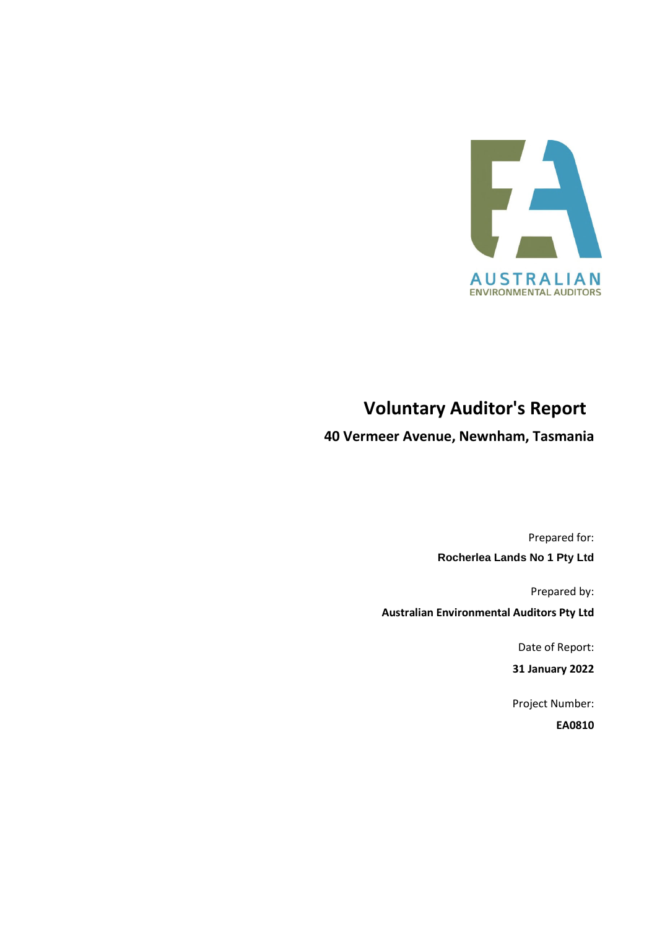

# **Voluntary Auditor's Report**

**40 Vermeer Avenue, Newnham, Tasmania** 

Prepared for: **Rocherlea Lands No 1 Pty Ltd** 

Prepared by:

**Australian Environmental Auditors Pty Ltd** 

Date of Report:

**31 January 2022** 

Project Number:

**EA0810**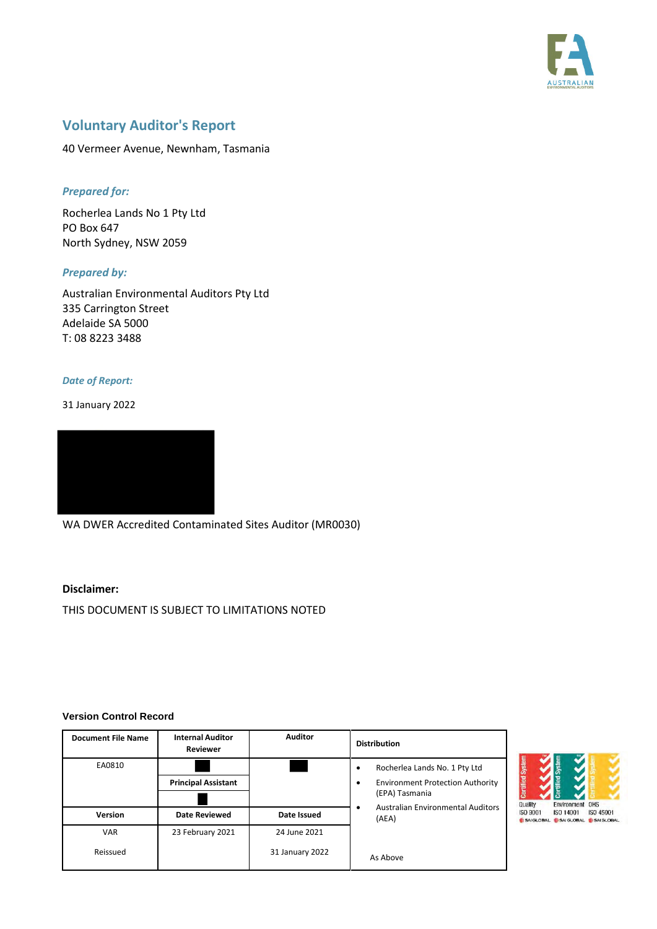

## **Voluntary Auditor's Report**

40 Vermeer Avenue, Newnham, Tasmania

### *Prepared for:*

Rocherlea Lands No 1 Pty Ltd PO Box 647 North Sydney, NSW 2059

#### *Prepared by:*

Australian Environmental Auditors Pty Ltd 335 Carrington Street Adelaide SA 5000 T: 08 8223 3488

#### *Date of Report:*

31 January 2022



WA DWER Accredited Contaminated Sites Auditor (MR0030)

#### **Disclaimer:**

THIS DOCUMENT IS SUBJECT TO LIMITATIONS NOTED

#### **Version Control Record**

| <b>Document File Name</b> | <b>Internal Auditor</b><br><b>Reviewer</b> | <b>Auditor</b>  | <b>Distribution</b>                                    |  |
|---------------------------|--------------------------------------------|-----------------|--------------------------------------------------------|--|
| EA0810                    |                                            |                 | Rocherlea Lands No. 1 Pty Ltd<br>٠                     |  |
|                           | <b>Principal Assistant</b>                 |                 | <b>Environment Protection Authority</b><br>$\bullet$   |  |
|                           |                                            |                 | (EPA) Tasmania                                         |  |
| <b>Version</b>            | <b>Date Reviewed</b>                       | Date Issued     | <b>Australian Environmental Auditors</b><br>٠<br>(AEA) |  |
| <b>VAR</b>                | 23 February 2021                           | 24 June 2021    |                                                        |  |
| Reissued                  |                                            | 31 January 2022 | As Above                                               |  |

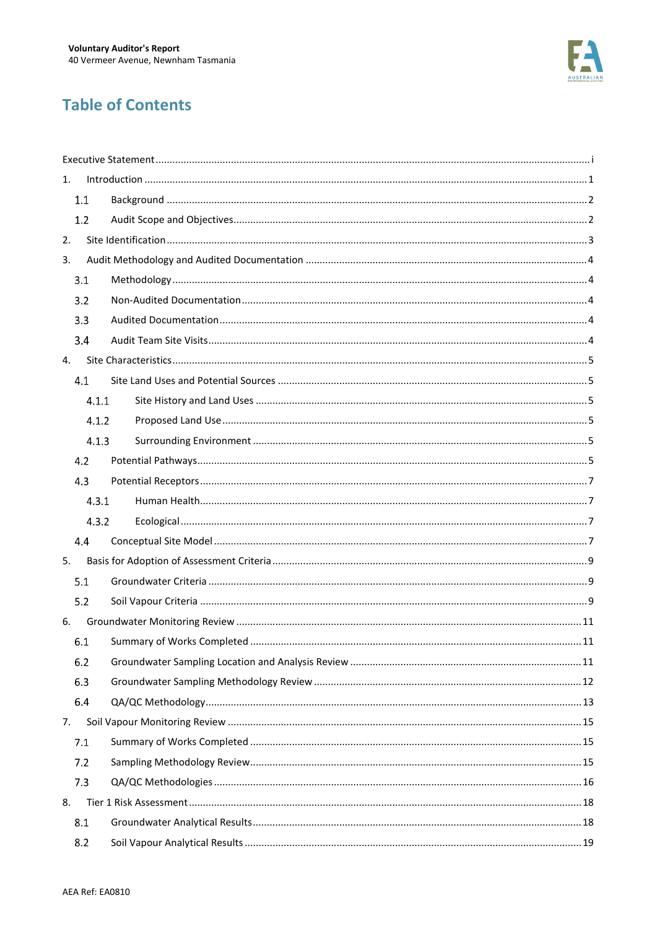

# **Table of Contents**

| 1. |       |  |  |  |
|----|-------|--|--|--|
|    | 1.1   |  |  |  |
|    | 1.2   |  |  |  |
| 2. |       |  |  |  |
| 3. |       |  |  |  |
|    | 3.1   |  |  |  |
|    | 3.2   |  |  |  |
|    | 3.3   |  |  |  |
|    | 3.4   |  |  |  |
| 4. |       |  |  |  |
|    | 4.1   |  |  |  |
|    | 4.1.1 |  |  |  |
|    | 4.1.2 |  |  |  |
|    | 4.1.3 |  |  |  |
|    | 4.2   |  |  |  |
|    | 4.3   |  |  |  |
|    | 4.3.1 |  |  |  |
|    | 4.3.2 |  |  |  |
|    | 4.4   |  |  |  |
| 5. |       |  |  |  |
|    | 5.1   |  |  |  |
|    | 5.2   |  |  |  |
| 6. |       |  |  |  |
|    | 6.1   |  |  |  |
|    | 6.2   |  |  |  |
|    | 6.3   |  |  |  |
|    | 6.4   |  |  |  |
| 7. |       |  |  |  |
|    | 7.1   |  |  |  |
|    | 7.2   |  |  |  |
|    | 7.3   |  |  |  |
| 8. |       |  |  |  |
|    | 8.1   |  |  |  |
|    | 8.2   |  |  |  |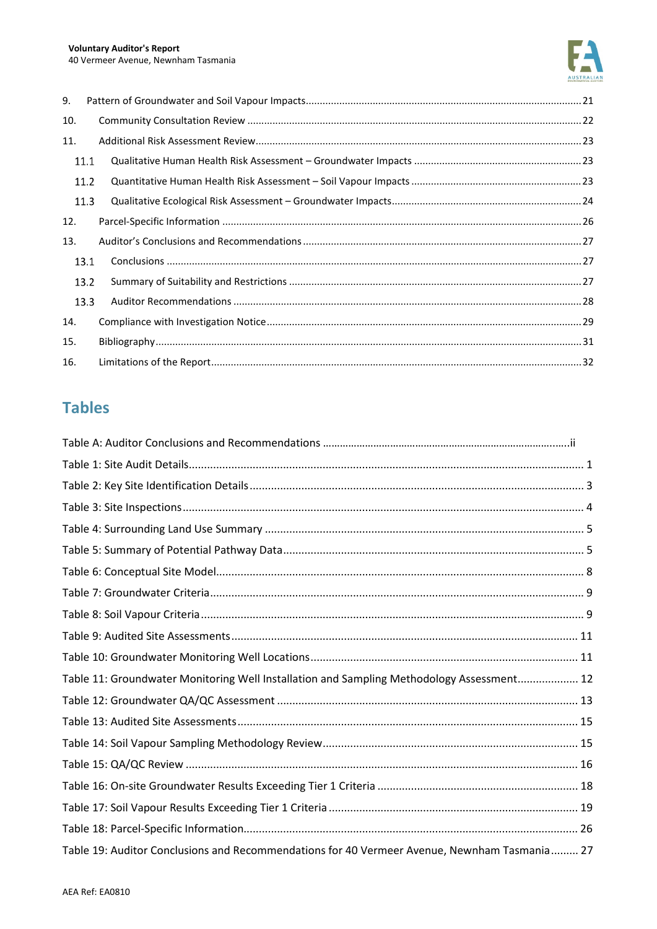

| 9.   |  |
|------|--|
| 10.  |  |
| 11.  |  |
| 11.1 |  |
| 11.2 |  |
| 11.3 |  |
| 12.  |  |
| 13.  |  |
| 13.1 |  |
| 13.2 |  |
| 13.3 |  |
| 14.  |  |
| 15.  |  |
| 16.  |  |

# **Tables**

| Table 11: Groundwater Monitoring Well Installation and Sampling Methodology Assessment 12    |  |
|----------------------------------------------------------------------------------------------|--|
|                                                                                              |  |
|                                                                                              |  |
|                                                                                              |  |
|                                                                                              |  |
|                                                                                              |  |
|                                                                                              |  |
|                                                                                              |  |
| Table 19: Auditor Conclusions and Recommendations for 40 Vermeer Avenue, Newnham Tasmania 27 |  |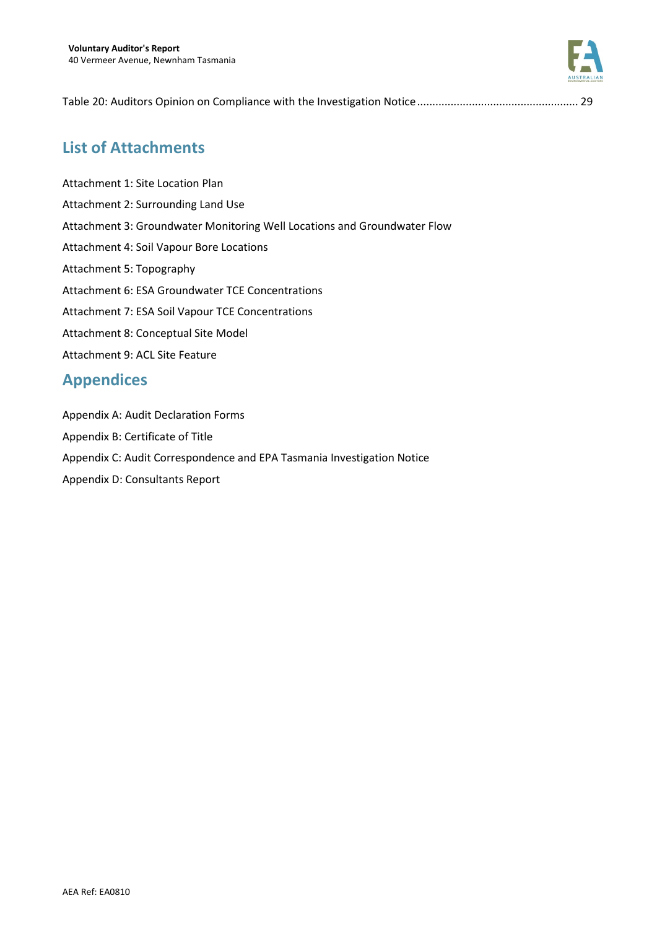

Table 20: Auditors Opinion on Compliance with the Investigation Notice ..................................................... 29

## **List of Attachments**

Attachment 1: Site Location Plan Attachment 2: Surrounding Land Use Attachment 3: Groundwater Monitoring Well Locations and Groundwater Flow Attachment 4: Soil Vapour Bore Locations Attachment 5: Topography Attachment 6: ESA Groundwater TCE Concentrations Attachment 7: ESA Soil Vapour TCE Concentrations Attachment 8: Conceptual Site Model Attachment 9: ACL Site Feature

## **Appendices**

Appendix A: Audit Declaration Forms

- Appendix B: Certificate of Title
- Appendix C: Audit Correspondence and EPA Tasmania Investigation Notice
- Appendix D: Consultants Report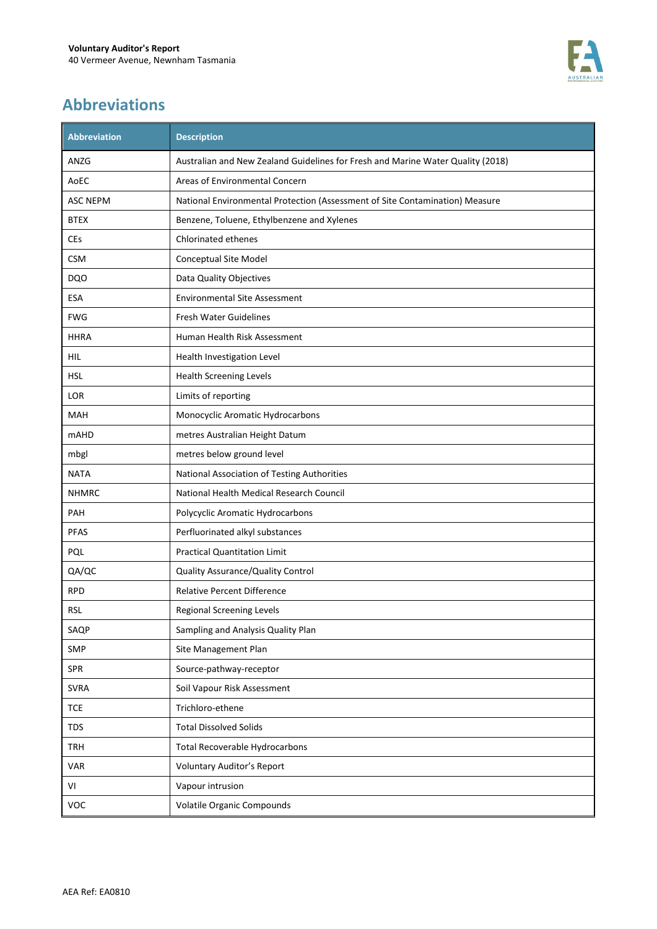

# **Abbreviations**

| <b>Abbreviation</b> | <b>Description</b>                                                              |
|---------------------|---------------------------------------------------------------------------------|
| ANZG                | Australian and New Zealand Guidelines for Fresh and Marine Water Quality (2018) |
| AoEC                | Areas of Environmental Concern                                                  |
| <b>ASC NEPM</b>     | National Environmental Protection (Assessment of Site Contamination) Measure    |
| <b>BTEX</b>         | Benzene, Toluene, Ethylbenzene and Xylenes                                      |
| CEs                 | Chlorinated ethenes                                                             |
| <b>CSM</b>          | Conceptual Site Model                                                           |
| DQ <sub>O</sub>     | Data Quality Objectives                                                         |
| <b>ESA</b>          | <b>Environmental Site Assessment</b>                                            |
| <b>FWG</b>          | <b>Fresh Water Guidelines</b>                                                   |
| <b>HHRA</b>         | Human Health Risk Assessment                                                    |
| HIL                 | Health Investigation Level                                                      |
| <b>HSL</b>          | <b>Health Screening Levels</b>                                                  |
| LOR                 | Limits of reporting                                                             |
| MAH                 | Monocyclic Aromatic Hydrocarbons                                                |
| <b>mAHD</b>         | metres Australian Height Datum                                                  |
| mbgl                | metres below ground level                                                       |
| <b>NATA</b>         | National Association of Testing Authorities                                     |
| <b>NHMRC</b>        | National Health Medical Research Council                                        |
| <b>PAH</b>          | Polycyclic Aromatic Hydrocarbons                                                |
| <b>PFAS</b>         | Perfluorinated alkyl substances                                                 |
| PQL                 | <b>Practical Quantitation Limit</b>                                             |
| QA/QC               | Quality Assurance/Quality Control                                               |
| <b>RPD</b>          | <b>Relative Percent Difference</b>                                              |
| <b>RSL</b>          | <b>Regional Screening Levels</b>                                                |
| SAQP                | Sampling and Analysis Quality Plan                                              |
| SMP                 | Site Management Plan                                                            |
| <b>SPR</b>          | Source-pathway-receptor                                                         |
| <b>SVRA</b>         | Soil Vapour Risk Assessment                                                     |
| <b>TCE</b>          | Trichloro-ethene                                                                |
| <b>TDS</b>          | <b>Total Dissolved Solids</b>                                                   |
| TRH                 | <b>Total Recoverable Hydrocarbons</b>                                           |
| VAR                 | Voluntary Auditor's Report                                                      |
| VI                  | Vapour intrusion                                                                |
| VOC                 | <b>Volatile Organic Compounds</b>                                               |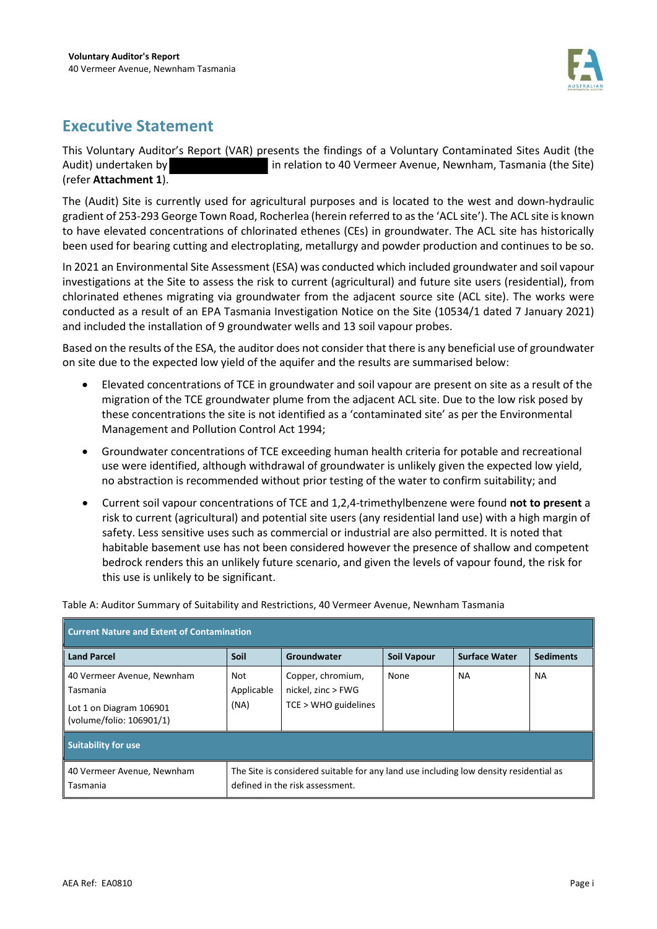

# **Executive Statement**

This Voluntary Auditor's Report (VAR) presents the findings of a Voluntary Contaminated Sites Audit (the Audit) undertaken by in relation to 40 Vermeer Avenue, Newnham, Tasmania (the Site) (refer **Attachment 1**).

The (Audit) Site is currently used for agricultural purposes and is located to the west and down-hydraulic gradient of 253-293 George Town Road, Rocherlea (herein referred to as the 'ACL site'). The ACL site is known to have elevated concentrations of chlorinated ethenes (CEs) in groundwater. The ACL site has historically been used for bearing cutting and electroplating, metallurgy and powder production and continues to be so.

In 2021 an Environmental Site Assessment (ESA) was conducted which included groundwater and soil vapour investigations at the Site to assess the risk to current (agricultural) and future site users (residential), from chlorinated ethenes migrating via groundwater from the adjacent source site (ACL site). The works were conducted as a result of an EPA Tasmania Investigation Notice on the Site (10534/1 dated 7 January 2021) and included the installation of 9 groundwater wells and 13 soil vapour probes.

Based on the results of the ESA, the auditor does not consider that there is any beneficial use of groundwater on site due to the expected low yield of the aquifer and the results are summarised below:

- Elevated concentrations of TCE in groundwater and soil vapour are present on site as a result of the migration of the TCE groundwater plume from the adjacent ACL site. Due to the low risk posed by these concentrations the site is not identified as a 'contaminated site' as per the Environmental Management and Pollution Control Act 1994;
- Groundwater concentrations of TCE exceeding human health criteria for potable and recreational use were identified, although withdrawal of groundwater is unlikely given the expected low yield, no abstraction is recommended without prior testing of the water to confirm suitability; and
- Current soil vapour concentrations of TCE and 1,2,4-trimethylbenzene were found **not to present** a risk to current (agricultural) and potential site users (any residential land use) with a high margin of safety. Less sensitive uses such as commercial or industrial are also permitted. It is noted that habitable basement use has not been considered however the presence of shallow and competent bedrock renders this an unlikely future scenario, and given the levels of vapour found, the risk for this use is unlikely to be significant.

| <b>Current Nature and Extent of Contamination</b>                                             |                                                                                                                          |                                                                   |                    |                      |                  |
|-----------------------------------------------------------------------------------------------|--------------------------------------------------------------------------------------------------------------------------|-------------------------------------------------------------------|--------------------|----------------------|------------------|
| <b>Land Parcel</b>                                                                            | Soil                                                                                                                     | Groundwater                                                       | <b>Soil Vapour</b> | <b>Surface Water</b> | <b>Sediments</b> |
| 40 Vermeer Avenue, Newnham<br>Tasmania<br>Lot 1 on Diagram 106901<br>(volume/folio: 106901/1) | Not<br>Applicable<br>(NA)                                                                                                | Copper, chromium,<br>nickel, zinc > FWG<br>$TCE > WHO$ guidelines | None               | NA.                  | <b>NA</b>        |
| <b>Suitability for use</b>                                                                    |                                                                                                                          |                                                                   |                    |                      |                  |
| 40 Vermeer Avenue, Newnham<br>Tasmania                                                        | The Site is considered suitable for any land use including low density residential as<br>defined in the risk assessment. |                                                                   |                    |                      |                  |

Table A: Auditor Summary of Suitability and Restrictions, 40 Vermeer Avenue, Newnham Tasmania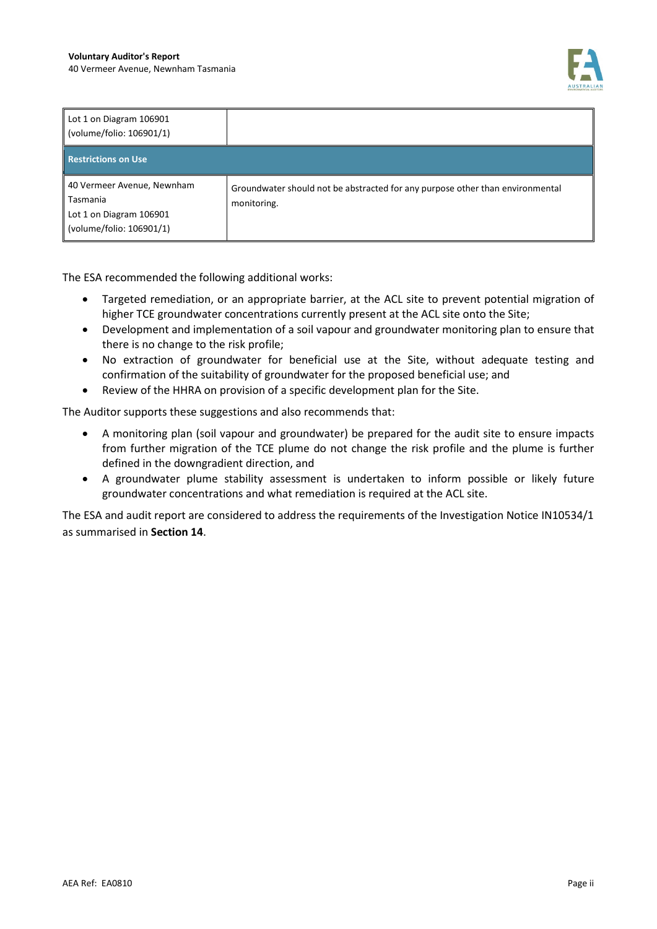

| Lot 1 on Diagram 106901<br>(volume/folio: 106901/1)                                           |                                                                                              |
|-----------------------------------------------------------------------------------------------|----------------------------------------------------------------------------------------------|
| <b>Restrictions on Use</b>                                                                    |                                                                                              |
| 40 Vermeer Avenue, Newnham<br>Tasmania<br>Lot 1 on Diagram 106901<br>(volume/folio: 106901/1) | Groundwater should not be abstracted for any purpose other than environmental<br>monitoring. |

The ESA recommended the following additional works:

- Targeted remediation, or an appropriate barrier, at the ACL site to prevent potential migration of higher TCE groundwater concentrations currently present at the ACL site onto the Site;
- Development and implementation of a soil vapour and groundwater monitoring plan to ensure that there is no change to the risk profile;
- No extraction of groundwater for beneficial use at the Site, without adequate testing and confirmation of the suitability of groundwater for the proposed beneficial use; and
- Review of the HHRA on provision of a specific development plan for the Site.

The Auditor supports these suggestions and also recommends that:

- A monitoring plan (soil vapour and groundwater) be prepared for the audit site to ensure impacts from further migration of the TCE plume do not change the risk profile and the plume is further defined in the downgradient direction, and
- A groundwater plume stability assessment is undertaken to inform possible or likely future groundwater concentrations and what remediation is required at the ACL site.

The ESA and audit report are considered to address the requirements of the Investigation Notice IN10534/1 as summarised in **Section 14**.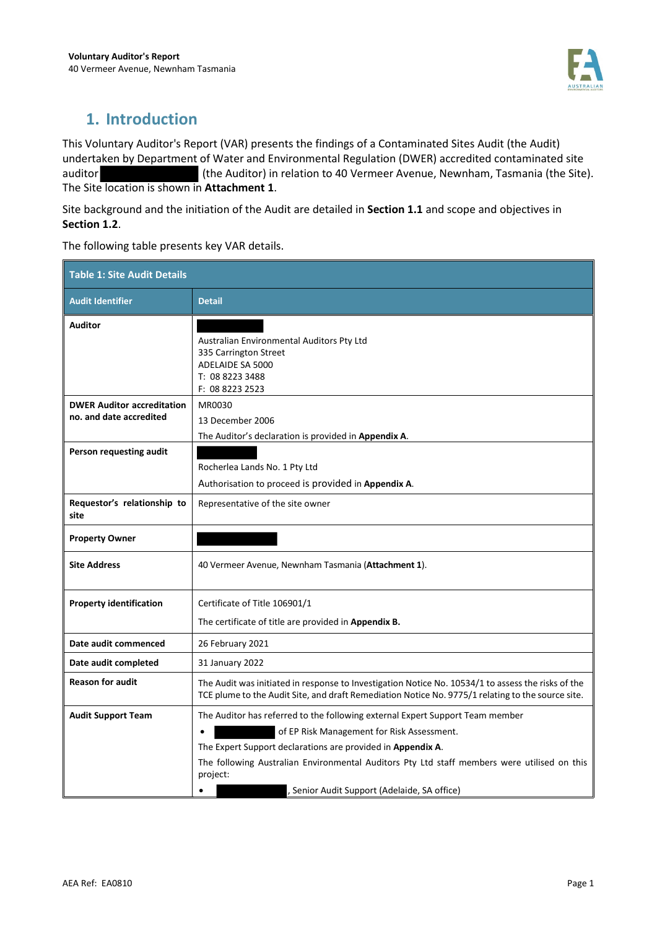

## **1. Introduction**

This Voluntary Auditor's Report (VAR) presents the findings of a Contaminated Sites Audit (the Audit) undertaken by Department of Water and Environmental Regulation (DWER) accredited contaminated site auditor (the Auditor) in relation to 40 Vermeer Avenue, Newnham, Tasmania (the Site). The Site location is shown in **Attachment 1**.

Site background and the initiation of the Audit are detailed in **Section 1.1** and scope and objectives in **Section 1.2**.

The following table presents key VAR details.

| <b>Table 1: Site Audit Details</b>  |                                                                                                                                                                                                         |  |
|-------------------------------------|---------------------------------------------------------------------------------------------------------------------------------------------------------------------------------------------------------|--|
| <b>Audit Identifier</b>             | <b>Detail</b>                                                                                                                                                                                           |  |
| <b>Auditor</b>                      |                                                                                                                                                                                                         |  |
|                                     | Australian Environmental Auditors Pty Ltd<br>335 Carrington Street                                                                                                                                      |  |
|                                     | ADELAIDE SA 5000                                                                                                                                                                                        |  |
|                                     | T: 08 8223 3488                                                                                                                                                                                         |  |
| <b>DWER Auditor accreditation</b>   | F: 08 8223 2523<br>MR0030                                                                                                                                                                               |  |
| no. and date accredited             | 13 December 2006                                                                                                                                                                                        |  |
|                                     | The Auditor's declaration is provided in Appendix A.                                                                                                                                                    |  |
| Person requesting audit             |                                                                                                                                                                                                         |  |
|                                     | Rocherlea Lands No. 1 Pty Ltd                                                                                                                                                                           |  |
|                                     | Authorisation to proceed is provided in Appendix A.                                                                                                                                                     |  |
| Requestor's relationship to<br>site | Representative of the site owner                                                                                                                                                                        |  |
| <b>Property Owner</b>               |                                                                                                                                                                                                         |  |
| <b>Site Address</b>                 | 40 Vermeer Avenue, Newnham Tasmania (Attachment 1).                                                                                                                                                     |  |
| <b>Property identification</b>      | Certificate of Title 106901/1                                                                                                                                                                           |  |
|                                     | The certificate of title are provided in Appendix B.                                                                                                                                                    |  |
| Date audit commenced                | 26 February 2021                                                                                                                                                                                        |  |
| Date audit completed                | 31 January 2022                                                                                                                                                                                         |  |
| <b>Reason for audit</b>             | The Audit was initiated in response to Investigation Notice No. 10534/1 to assess the risks of the<br>TCE plume to the Audit Site, and draft Remediation Notice No. 9775/1 relating to the source site. |  |
| <b>Audit Support Team</b>           | The Auditor has referred to the following external Expert Support Team member                                                                                                                           |  |
|                                     | of EP Risk Management for Risk Assessment.<br>$\bullet$                                                                                                                                                 |  |
|                                     | The Expert Support declarations are provided in Appendix A.                                                                                                                                             |  |
|                                     | The following Australian Environmental Auditors Pty Ltd staff members were utilised on this<br>project:                                                                                                 |  |
|                                     | Senior Audit Support (Adelaide, SA office)<br>$\bullet$                                                                                                                                                 |  |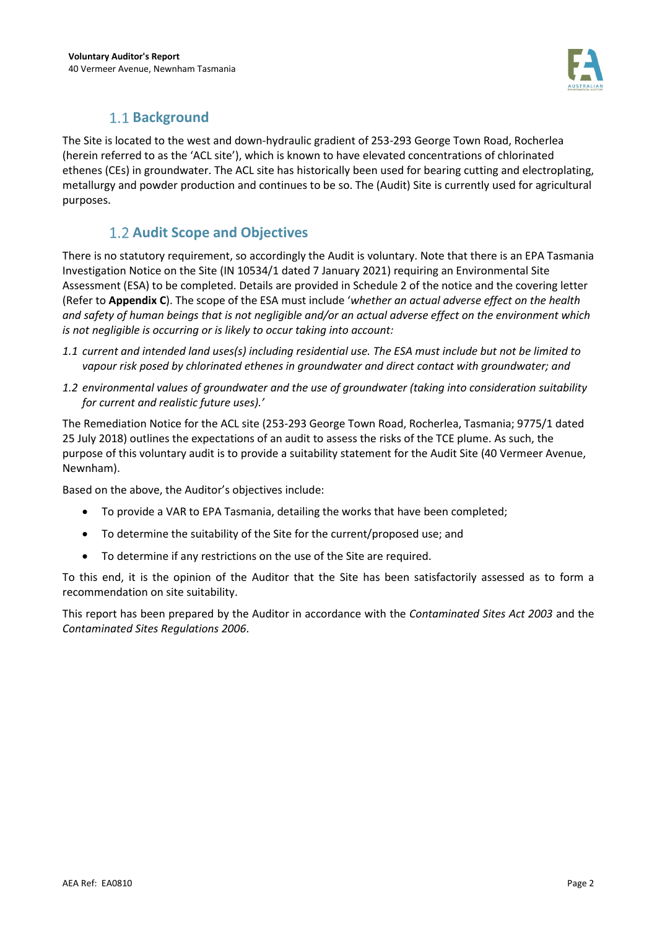

## **1.1 Background**

The Site is located to the west and down-hydraulic gradient of 253-293 George Town Road, Rocherlea (herein referred to as the 'ACL site'), which is known to have elevated concentrations of chlorinated ethenes (CEs) in groundwater. The ACL site has historically been used for bearing cutting and electroplating, metallurgy and powder production and continues to be so. The (Audit) Site is currently used for agricultural purposes.

## **1.2 Audit Scope and Objectives**

There is no statutory requirement, so accordingly the Audit is voluntary. Note that there is an EPA Tasmania Investigation Notice on the Site (IN 10534/1 dated 7 January 2021) requiring an Environmental Site Assessment (ESA) to be completed. Details are provided in Schedule 2 of the notice and the covering letter (Refer to **Appendix C**). The scope of the ESA must include '*whether an actual adverse effect on the health and safety of human beings that is not negligible and/or an actual adverse effect on the environment which is not negligible is occurring or is likely to occur taking into account:* 

- *1.1 current and intended land uses(s) including residential use. The ESA must include but not be limited to vapour risk posed by chlorinated ethenes in groundwater and direct contact with groundwater; and*
- *1.2 environmental values of groundwater and the use of groundwater (taking into consideration suitability for current and realistic future uses).'*

The Remediation Notice for the ACL site (253-293 George Town Road, Rocherlea, Tasmania; 9775/1 dated 25 July 2018) outlines the expectations of an audit to assess the risks of the TCE plume. As such, the purpose of this voluntary audit is to provide a suitability statement for the Audit Site (40 Vermeer Avenue, Newnham).

Based on the above, the Auditor's objectives include:

- To provide a VAR to EPA Tasmania, detailing the works that have been completed;
- To determine the suitability of the Site for the current/proposed use; and
- To determine if any restrictions on the use of the Site are required.

To this end, it is the opinion of the Auditor that the Site has been satisfactorily assessed as to form a recommendation on site suitability.

This report has been prepared by the Auditor in accordance with the *Contaminated Sites Act 2003* and the *Contaminated Sites Regulations 2006*.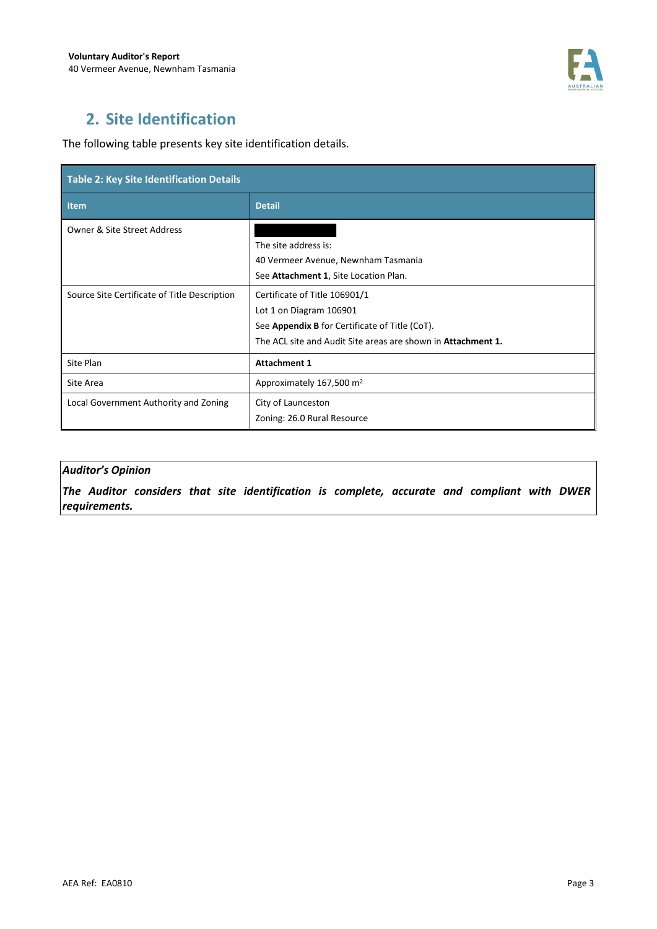

# **2. Site Identification**

The following table presents key site identification details.

| Table 2: Key Site Identification Details     |                                                                     |  |
|----------------------------------------------|---------------------------------------------------------------------|--|
| Item                                         | <b>Detail</b>                                                       |  |
| <b>Owner &amp; Site Street Address</b>       |                                                                     |  |
|                                              | The site address is:                                                |  |
|                                              | 40 Vermeer Avenue, Newnham Tasmania                                 |  |
|                                              | See Attachment 1, Site Location Plan.                               |  |
| Source Site Certificate of Title Description | Certificate of Title 106901/1                                       |  |
|                                              | Lot 1 on Diagram 106901                                             |  |
|                                              | See Appendix B for Certificate of Title (CoT).                      |  |
|                                              | The ACL site and Audit Site areas are shown in <b>Attachment 1.</b> |  |
| Site Plan                                    | <b>Attachment 1</b>                                                 |  |
| Site Area                                    | Approximately 167,500 m <sup>2</sup>                                |  |
| Local Government Authority and Zoning        | City of Launceston                                                  |  |
|                                              | Zoning: 26.0 Rural Resource                                         |  |

### *Auditor's Opinion*

*The Auditor considers that site identification is complete, accurate and compliant with DWER requirements.*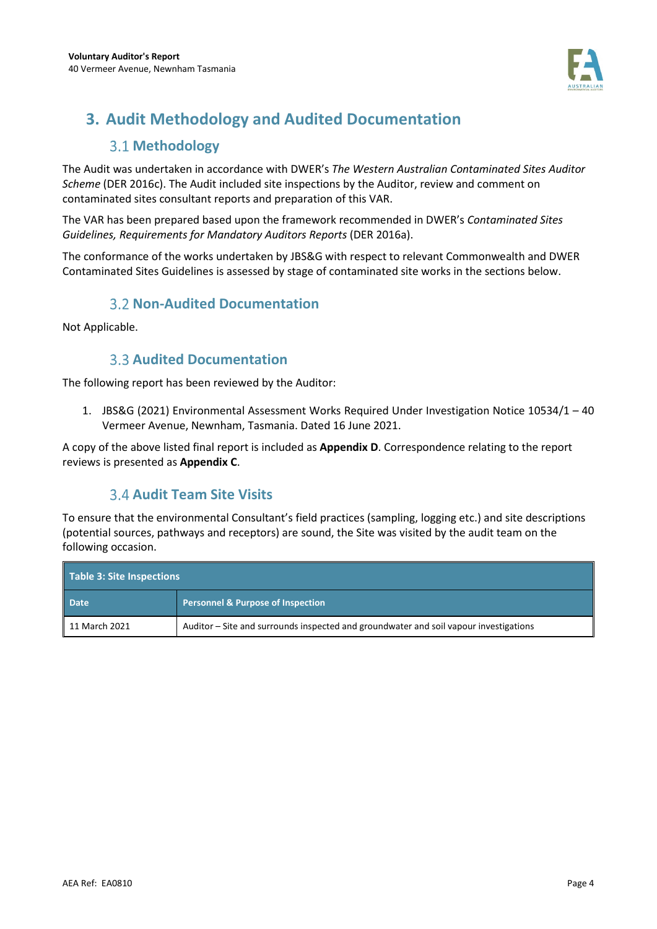

# **3. Audit Methodology and Audited Documentation**

## **3.1 Methodology**

The Audit was undertaken in accordance with DWER's *The Western Australian Contaminated Sites Auditor Scheme* (DER 2016c). The Audit included site inspections by the Auditor, review and comment on contaminated sites consultant reports and preparation of this VAR.

The VAR has been prepared based upon the framework recommended in DWER's *Contaminated Sites Guidelines, Requirements for Mandatory Auditors Reports* (DER 2016a).

The conformance of the works undertaken by JBS&G with respect to relevant Commonwealth and DWER Contaminated Sites Guidelines is assessed by stage of contaminated site works in the sections below.

## **3.2 Non-Audited Documentation**

Not Applicable.

## **3.3 Audited Documentation**

The following report has been reviewed by the Auditor:

1. JBS&G (2021) Environmental Assessment Works Required Under Investigation Notice 10534/1 – 40 Vermeer Avenue, Newnham, Tasmania. Dated 16 June 2021.

A copy of the above listed final report is included as **Appendix D**. Correspondence relating to the report reviews is presented as **Appendix C**.

## **Audit Team Site Visits**

To ensure that the environmental Consultant's field practices (sampling, logging etc.) and site descriptions (potential sources, pathways and receptors) are sound, the Site was visited by the audit team on the following occasion.

| Table 3: Site Inspections |                                                                                       |  |
|---------------------------|---------------------------------------------------------------------------------------|--|
| <b>Date</b>               | <b>Personnel &amp; Purpose of Inspection</b>                                          |  |
| 11 March 2021             | Auditor – Site and surrounds inspected and groundwater and soil vapour investigations |  |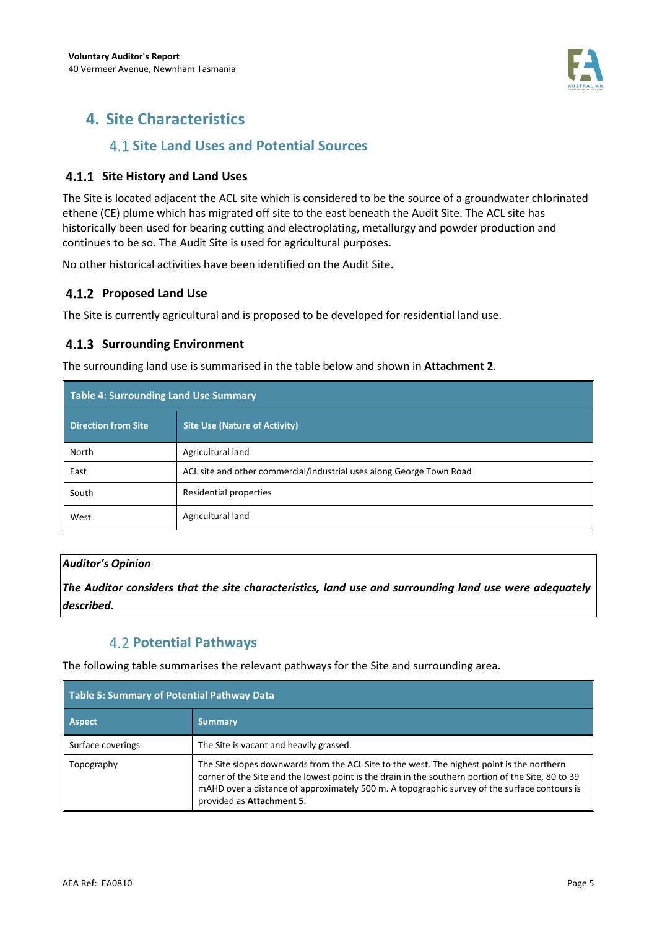

## **4. Site Characteristics**

## **4.1 Site Land Uses and Potential Sources**

### **4.1.1 Site History and Land Uses**

The Site is located adjacent the ACL site which is considered to be the source of a groundwater chlorinated ethene (CE) plume which has migrated off site to the east beneath the Audit Site. The ACL site has historically been used for bearing cutting and electroplating, metallurgy and powder production and continues to be so. The Audit Site is used for agricultural purposes.

No other historical activities have been identified on the Audit Site.

### **Proposed Land Use**

The Site is currently agricultural and is proposed to be developed for residential land use.

### **4.1.3 Surrounding Environment**

The surrounding land use is summarised in the table below and shown in **Attachment 2**.

| Table 4: Surrounding Land Use Summary |                                                                      |  |
|---------------------------------------|----------------------------------------------------------------------|--|
| <b>Direction from Site</b>            | <b>Site Use (Nature of Activity)</b>                                 |  |
| North                                 | Agricultural land                                                    |  |
| East                                  | ACL site and other commercial/industrial uses along George Town Road |  |
| South                                 | Residential properties                                               |  |
| West                                  | Agricultural land                                                    |  |

### *Auditor's Opinion*

*The Auditor considers that the site characteristics, land use and surrounding land use were adequately described.* 

## **Potential Pathways**

The following table summarises the relevant pathways for the Site and surrounding area.

| Table 5: Summary of Potential Pathway Data |                                                                                                                                                                                                                                                                                                                               |
|--------------------------------------------|-------------------------------------------------------------------------------------------------------------------------------------------------------------------------------------------------------------------------------------------------------------------------------------------------------------------------------|
| <b>Aspect</b>                              | <b>Summary</b>                                                                                                                                                                                                                                                                                                                |
| Surface coverings                          | The Site is vacant and heavily grassed.                                                                                                                                                                                                                                                                                       |
| Topography                                 | The Site slopes downwards from the ACL Site to the west. The highest point is the northern<br>corner of the Site and the lowest point is the drain in the southern portion of the Site, 80 to 39<br>mAHD over a distance of approximately 500 m. A topographic survey of the surface contours is<br>provided as Attachment 5. |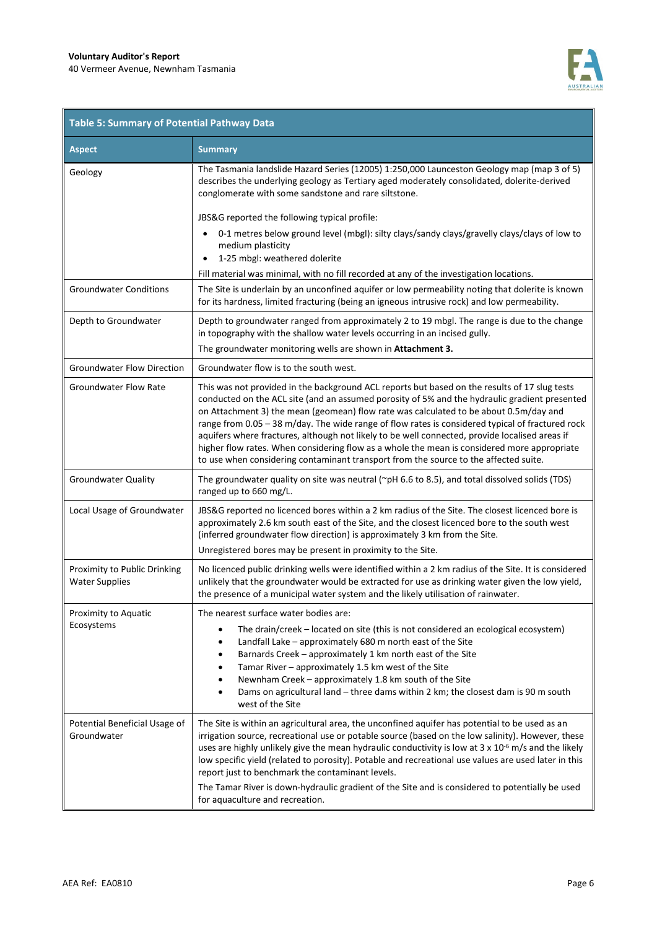**F** 



 $\blacksquare$ 

| <b>Table 5: Summary of Potential Pathway Data</b>     |                                                                                                                                                                                                                                                                                                                                                                                                                                                                                                                                                                                                                                                                                      |  |  |
|-------------------------------------------------------|--------------------------------------------------------------------------------------------------------------------------------------------------------------------------------------------------------------------------------------------------------------------------------------------------------------------------------------------------------------------------------------------------------------------------------------------------------------------------------------------------------------------------------------------------------------------------------------------------------------------------------------------------------------------------------------|--|--|
| <b>Aspect</b>                                         | <b>Summary</b>                                                                                                                                                                                                                                                                                                                                                                                                                                                                                                                                                                                                                                                                       |  |  |
| Geology                                               | The Tasmania landslide Hazard Series (12005) 1:250,000 Launceston Geology map (map 3 of 5)<br>describes the underlying geology as Tertiary aged moderately consolidated, dolerite-derived<br>conglomerate with some sandstone and rare siltstone.<br>JBS&G reported the following typical profile:<br>0-1 metres below ground level (mbgl): silty clays/sandy clays/gravelly clays/clays of low to                                                                                                                                                                                                                                                                                   |  |  |
|                                                       | medium plasticity<br>1-25 mbgl: weathered dolerite<br>Fill material was minimal, with no fill recorded at any of the investigation locations.                                                                                                                                                                                                                                                                                                                                                                                                                                                                                                                                        |  |  |
| <b>Groundwater Conditions</b>                         | The Site is underlain by an unconfined aquifer or low permeability noting that dolerite is known<br>for its hardness, limited fracturing (being an igneous intrusive rock) and low permeability.                                                                                                                                                                                                                                                                                                                                                                                                                                                                                     |  |  |
| Depth to Groundwater                                  | Depth to groundwater ranged from approximately 2 to 19 mbgl. The range is due to the change<br>in topography with the shallow water levels occurring in an incised gully.<br>The groundwater monitoring wells are shown in Attachment 3.                                                                                                                                                                                                                                                                                                                                                                                                                                             |  |  |
| <b>Groundwater Flow Direction</b>                     | Groundwater flow is to the south west.                                                                                                                                                                                                                                                                                                                                                                                                                                                                                                                                                                                                                                               |  |  |
| <b>Groundwater Flow Rate</b>                          | This was not provided in the background ACL reports but based on the results of 17 slug tests<br>conducted on the ACL site (and an assumed porosity of 5% and the hydraulic gradient presented<br>on Attachment 3) the mean (geomean) flow rate was calculated to be about 0.5m/day and<br>range from 0.05 - 38 m/day. The wide range of flow rates is considered typical of fractured rock<br>aquifers where fractures, although not likely to be well connected, provide localised areas if<br>higher flow rates. When considering flow as a whole the mean is considered more appropriate<br>to use when considering contaminant transport from the source to the affected suite. |  |  |
| <b>Groundwater Quality</b>                            | The groundwater quality on site was neutral ( $\gamma$ pH 6.6 to 8.5), and total dissolved solids (TDS)<br>ranged up to 660 mg/L.                                                                                                                                                                                                                                                                                                                                                                                                                                                                                                                                                    |  |  |
| Local Usage of Groundwater                            | JBS&G reported no licenced bores within a 2 km radius of the Site. The closest licenced bore is<br>approximately 2.6 km south east of the Site, and the closest licenced bore to the south west<br>(inferred groundwater flow direction) is approximately 3 km from the Site.<br>Unregistered bores may be present in proximity to the Site.                                                                                                                                                                                                                                                                                                                                         |  |  |
| Proximity to Public Drinking<br><b>Water Supplies</b> | No licenced public drinking wells were identified within a 2 km radius of the Site. It is considered<br>unlikely that the groundwater would be extracted for use as drinking water given the low yield,<br>the presence of a municipal water system and the likely utilisation of rainwater.                                                                                                                                                                                                                                                                                                                                                                                         |  |  |
| Proximity to Aquatic<br>Ecosystems                    | The nearest surface water bodies are:<br>The drain/creek - located on site (this is not considered an ecological ecosystem)<br>Landfall Lake - approximately 680 m north east of the Site<br>$\bullet$<br>Barnards Creek - approximately 1 km north east of the Site<br>$\bullet$<br>Tamar River - approximately 1.5 km west of the Site<br>$\bullet$<br>Newnham Creek - approximately 1.8 km south of the Site<br>$\bullet$<br>Dams on agricultural land - three dams within 2 km; the closest dam is 90 m south<br>$\bullet$<br>west of the Site                                                                                                                                   |  |  |
| Potential Beneficial Usage of<br>Groundwater          | The Site is within an agricultural area, the unconfined aquifer has potential to be used as an<br>irrigation source, recreational use or potable source (based on the low salinity). However, these<br>uses are highly unlikely give the mean hydraulic conductivity is low at $3 \times 10^{-6}$ m/s and the likely<br>low specific yield (related to porosity). Potable and recreational use values are used later in this<br>report just to benchmark the contaminant levels.<br>The Tamar River is down-hydraulic gradient of the Site and is considered to potentially be used<br>for aquaculture and recreation.                                                               |  |  |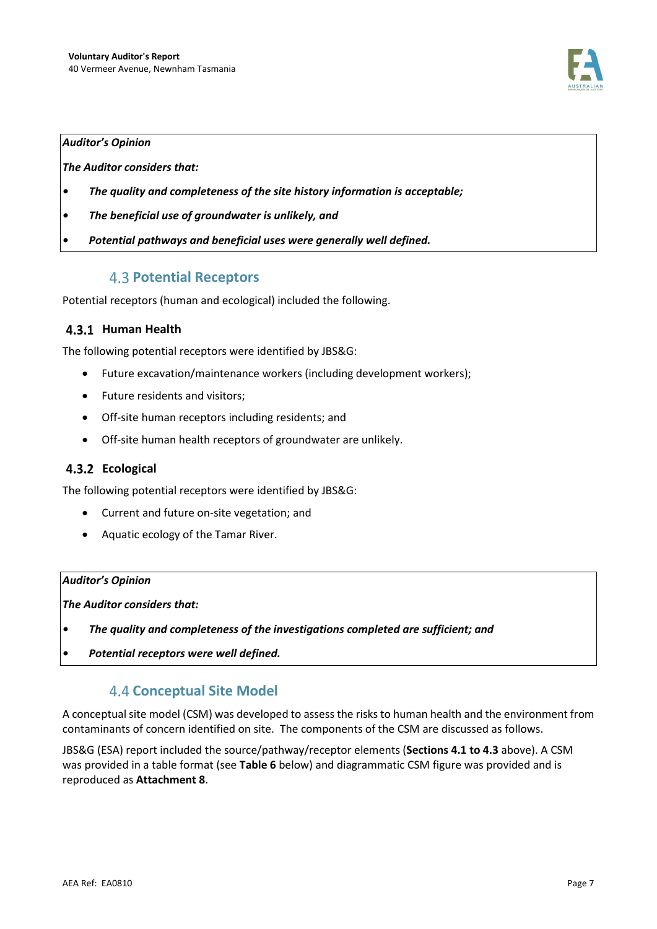

#### *Auditor's Opinion*

*The Auditor considers that:* 

- *The quality and completeness of the site history information is acceptable;*
- *The beneficial use of groundwater is unlikely, and*
- *Potential pathways and beneficial uses were generally well defined.*

### **4.3 Potential Receptors**

Potential receptors (human and ecological) included the following.

### **Human Health**

The following potential receptors were identified by JBS&G:

- Future excavation/maintenance workers (including development workers);
- Future residents and visitors;
- Off-site human receptors including residents; and
- Off-site human health receptors of groundwater are unlikely.

### **Ecological**

The following potential receptors were identified by JBS&G:

- Current and future on-site vegetation; and
- Aquatic ecology of the Tamar River.

#### *Auditor's Opinion*

*The Auditor considers that:* 

- *The quality and completeness of the investigations completed are sufficient; and*
- *Potential receptors were well defined.*

## **4.4 Conceptual Site Model**

A conceptual site model (CSM) was developed to assess the risks to human health and the environment from contaminants of concern identified on site. The components of the CSM are discussed as follows.

JBS&G (ESA) report included the source/pathway/receptor elements (**Sections 4.1 to 4.3** above). A CSM was provided in a table format (see **Table 6** below) and diagrammatic CSM figure was provided and is reproduced as **Attachment 8**.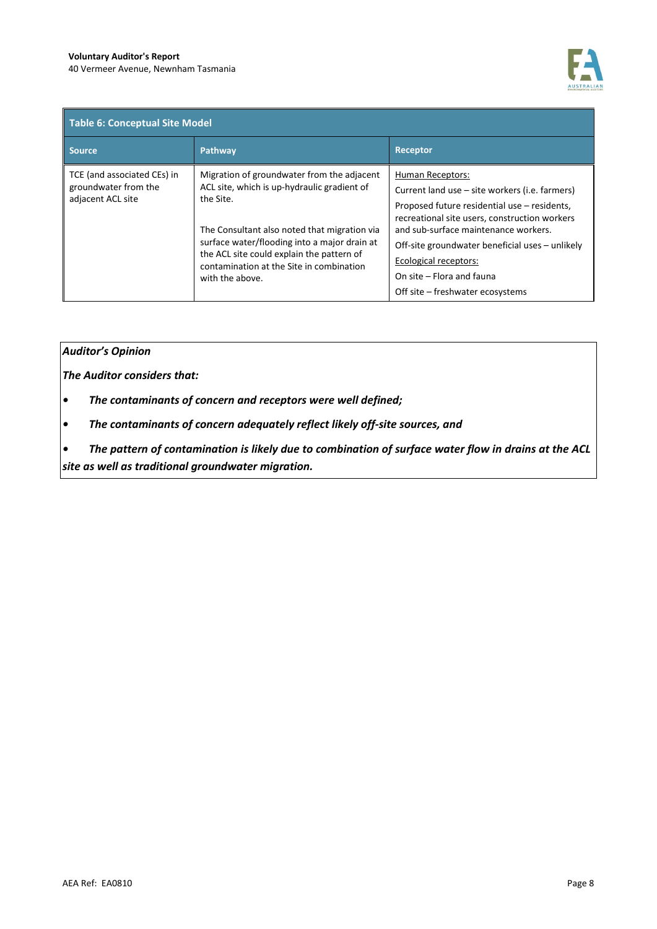

| <b>Table 6: Conceptual Site Model</b>                                    |                                                                                                                                                                                                                                                                                                                    |                                                                                                                                                                                                                                                                                                                             |  |
|--------------------------------------------------------------------------|--------------------------------------------------------------------------------------------------------------------------------------------------------------------------------------------------------------------------------------------------------------------------------------------------------------------|-----------------------------------------------------------------------------------------------------------------------------------------------------------------------------------------------------------------------------------------------------------------------------------------------------------------------------|--|
| <b>Source</b>                                                            | Pathway                                                                                                                                                                                                                                                                                                            | <b>Receptor</b>                                                                                                                                                                                                                                                                                                             |  |
| TCE (and associated CEs) in<br>groundwater from the<br>adjacent ACL site | Migration of groundwater from the adjacent<br>ACL site, which is up-hydraulic gradient of<br>the Site.<br>The Consultant also noted that migration via<br>surface water/flooding into a major drain at<br>the ACL site could explain the pattern of<br>contamination at the Site in combination<br>with the above. | <b>Human Receptors:</b><br>Current land use – site workers (i.e. farmers)<br>Proposed future residential use – residents,<br>recreational site users, construction workers<br>and sub-surface maintenance workers.<br>Off-site groundwater beneficial uses - unlikely<br>Ecological receptors:<br>On site – Flora and fauna |  |
|                                                                          |                                                                                                                                                                                                                                                                                                                    | Off site – freshwater ecosystems                                                                                                                                                                                                                                                                                            |  |

#### *Auditor's Opinion*

*The Auditor considers that:* 

- *The contaminants of concern and receptors were well defined;*
- *The contaminants of concern adequately reflect likely off-site sources, and*

*• The pattern of contamination is likely due to combination of surface water flow in drains at the ACL site as well as traditional groundwater migration.*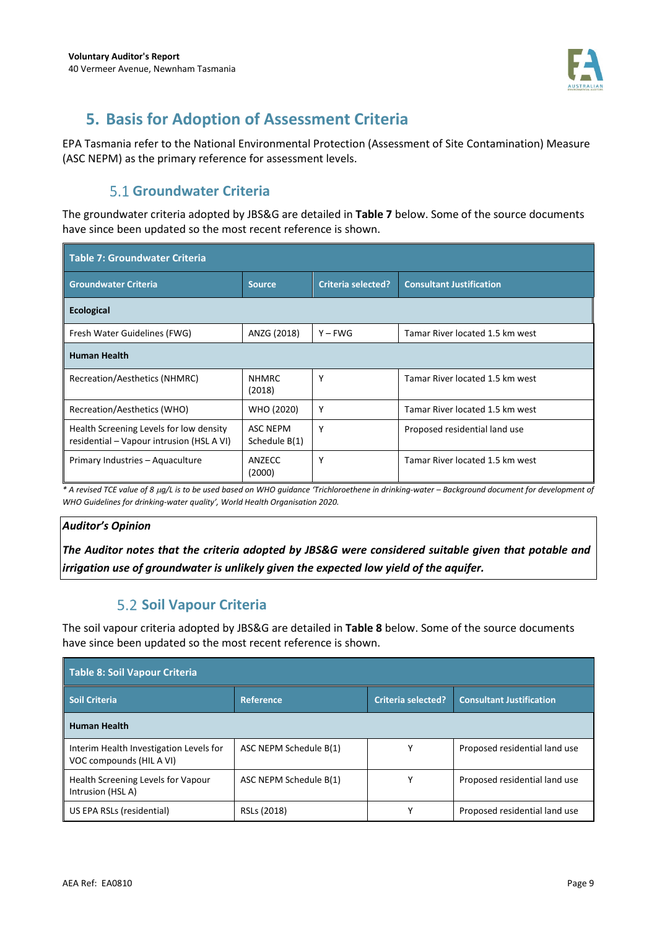

## **5. Basis for Adoption of Assessment Criteria**

EPA Tasmania refer to the National Environmental Protection (Assessment of Site Contamination) Measure (ASC NEPM) as the primary reference for assessment levels.

## **Groundwater Criteria**

The groundwater criteria adopted by JBS&G are detailed in **Table 7** below. Some of the source documents have since been updated so the most recent reference is shown.

| <b>Table 7: Groundwater Criteria</b>                                                 |                                  |                           |                                 |  |
|--------------------------------------------------------------------------------------|----------------------------------|---------------------------|---------------------------------|--|
| <b>Groundwater Criteria</b>                                                          | <b>Source</b>                    | <b>Criteria selected?</b> | <b>Consultant Justification</b> |  |
| <b>Ecological</b>                                                                    |                                  |                           |                                 |  |
| Fresh Water Guidelines (FWG)                                                         | ANZG (2018)                      | $Y - FWG$                 | Tamar River located 1.5 km west |  |
| <b>Human Health</b>                                                                  |                                  |                           |                                 |  |
| Recreation/Aesthetics (NHMRC)                                                        | <b>NHMRC</b><br>(2018)           | Υ                         | Tamar River located 1.5 km west |  |
| Recreation/Aesthetics (WHO)                                                          | WHO (2020)                       | Υ                         | Tamar River located 1.5 km west |  |
| Health Screening Levels for low density<br>residential – Vapour intrusion (HSL A VI) | <b>ASC NEPM</b><br>Schedule B(1) | Υ                         | Proposed residential land use   |  |
| Primary Industries - Aquaculture                                                     | ANZECC<br>(2000)                 | Υ                         | Tamar River located 1.5 km west |  |

*\* A revised TCE value of 8* µ*g/L is to be used based on WHO guidance 'Trichloroethene in drinking-water – Background document for development of WHO Guidelines for drinking-water quality', World Health Organisation 2020.*

### *Auditor's Opinion*

*The Auditor notes that the criteria adopted by JBS&G were considered suitable given that potable and irrigation use of groundwater is unlikely given the expected low yield of the aquifer.* 

## **5.2 Soil Vapour Criteria**

The soil vapour criteria adopted by JBS&G are detailed in **Table 8** below. Some of the source documents have since been updated so the most recent reference is shown.

| <b>Table 8: Soil Vapour Criteria</b>                                |                        |                           |                                 |
|---------------------------------------------------------------------|------------------------|---------------------------|---------------------------------|
| <b>Soil Criteria</b>                                                | <b>Reference</b>       | <b>Criteria selected?</b> | <b>Consultant Justification</b> |
| <b>Human Health</b>                                                 |                        |                           |                                 |
| Interim Health Investigation Levels for<br>VOC compounds (HIL A VI) | ASC NEPM Schedule B(1) |                           | Proposed residential land use   |
| Health Screening Levels for Vapour<br>Intrusion (HSL A)             | ASC NEPM Schedule B(1) |                           | Proposed residential land use   |
| US EPA RSLs (residential)                                           | RSLs (2018)            |                           | Proposed residential land use   |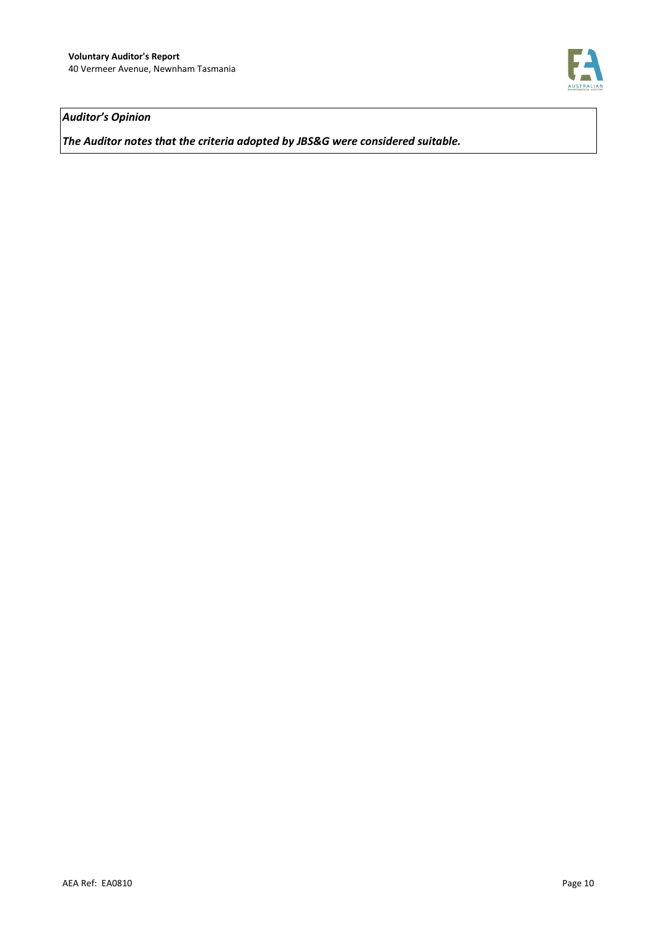

### *Auditor's Opinion*

*The Auditor notes that the criteria adopted by JBS&G were considered suitable.*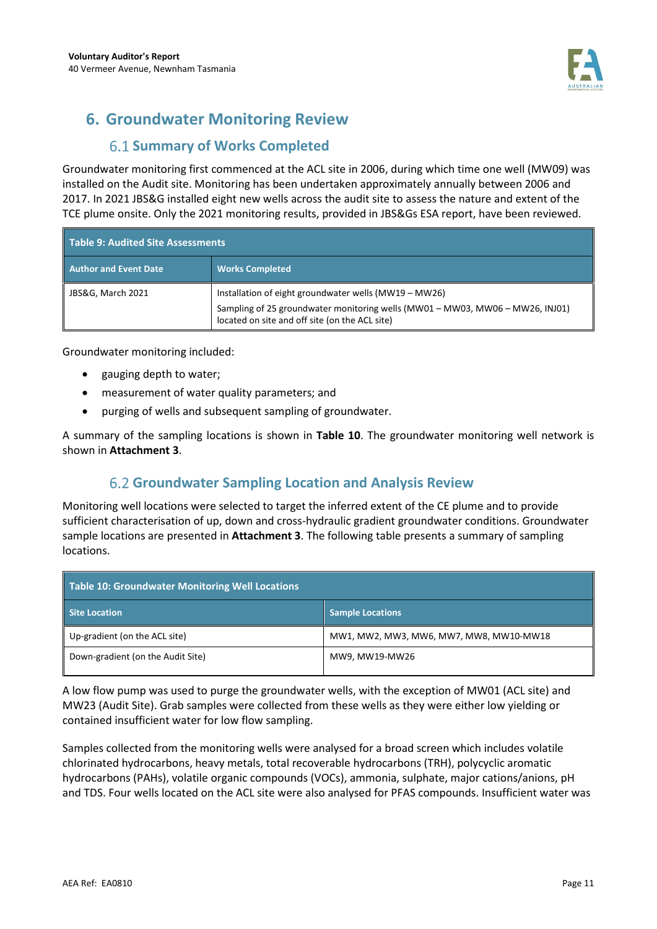

# **6. Groundwater Monitoring Review**

## **6.1 Summary of Works Completed**

Groundwater monitoring first commenced at the ACL site in 2006, during which time one well (MW09) was installed on the Audit site. Monitoring has been undertaken approximately annually between 2006 and 2017. In 2021 JBS&G installed eight new wells across the audit site to assess the nature and extent of the TCE plume onsite. Only the 2021 monitoring results, provided in JBS&Gs ESA report, have been reviewed.

| Table 9: Audited Site Assessments |                                                                                                                                                                                          |  |
|-----------------------------------|------------------------------------------------------------------------------------------------------------------------------------------------------------------------------------------|--|
| <b>Author and Event Date</b>      | <b>Works Completed</b>                                                                                                                                                                   |  |
| JBS&G, March 2021                 | Installation of eight groundwater wells (MW19 - MW26)<br>Sampling of 25 groundwater monitoring wells (MW01 - MW03, MW06 - MW26, INJ01)<br>located on site and off site (on the ACL site) |  |

Groundwater monitoring included:

- gauging depth to water;
- measurement of water quality parameters; and
- purging of wells and subsequent sampling of groundwater.

A summary of the sampling locations is shown in **Table 10**. The groundwater monitoring well network is shown in **Attachment 3**.

## **Groundwater Sampling Location and Analysis Review**

Monitoring well locations were selected to target the inferred extent of the CE plume and to provide sufficient characterisation of up, down and cross-hydraulic gradient groundwater conditions. Groundwater sample locations are presented in **Attachment 3**. The following table presents a summary of sampling locations.

| Table 10: Groundwater Monitoring Well Locations |                                         |  |
|-------------------------------------------------|-----------------------------------------|--|
| Site Location                                   | <b>Sample Locations</b>                 |  |
| Up-gradient (on the ACL site)                   | MW1, MW2, MW3, MW6, MW7, MW8, MW10-MW18 |  |
| Down-gradient (on the Audit Site)               | MW9, MW19-MW26                          |  |

A low flow pump was used to purge the groundwater wells, with the exception of MW01 (ACL site) and MW23 (Audit Site). Grab samples were collected from these wells as they were either low yielding or contained insufficient water for low flow sampling.

Samples collected from the monitoring wells were analysed for a broad screen which includes volatile chlorinated hydrocarbons, heavy metals, total recoverable hydrocarbons (TRH), polycyclic aromatic hydrocarbons (PAHs), volatile organic compounds (VOCs), ammonia, sulphate, major cations/anions, pH and TDS. Four wells located on the ACL site were also analysed for PFAS compounds. Insufficient water was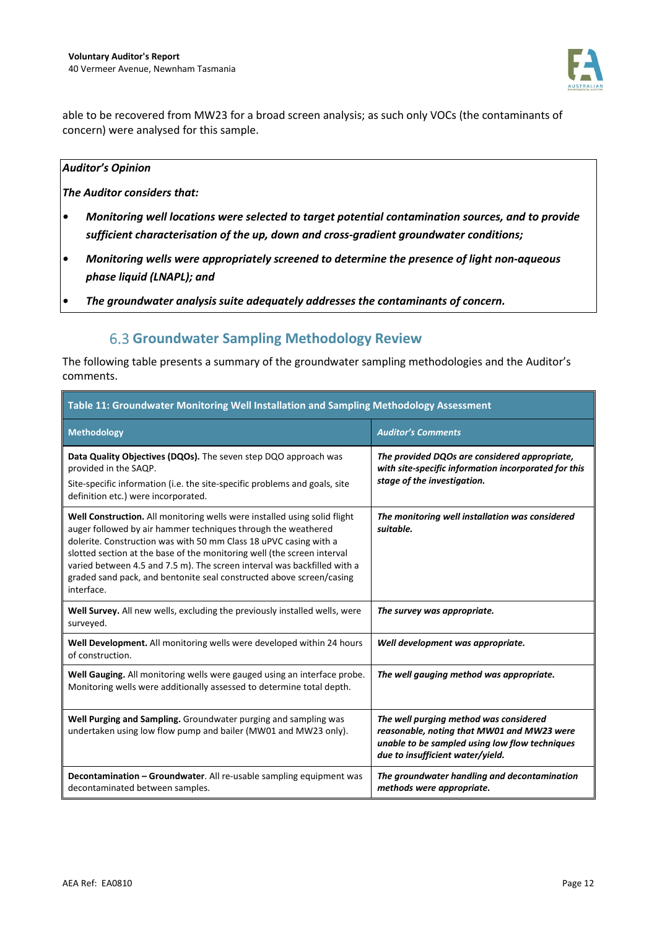

able to be recovered from MW23 for a broad screen analysis; as such only VOCs (the contaminants of concern) were analysed for this sample.

#### *Auditor's Opinion*

*The Auditor considers that:* 

- *Monitoring well locations were selected to target potential contamination sources, and to provide sufficient characterisation of the up, down and cross-gradient groundwater conditions;*
- *Monitoring wells were appropriately screened to determine the presence of light non-aqueous phase liquid (LNAPL); and*
- *The groundwater analysis suite adequately addresses the contaminants of concern.*

## **Groundwater Sampling Methodology Review**

The following table presents a summary of the groundwater sampling methodologies and the Auditor's comments.

| Table 11: Groundwater Monitoring Well Installation and Sampling Methodology Assessment                                                                                                                                                                                                                                                                                                                                                                       |                                                                                                                                                                            |  |
|--------------------------------------------------------------------------------------------------------------------------------------------------------------------------------------------------------------------------------------------------------------------------------------------------------------------------------------------------------------------------------------------------------------------------------------------------------------|----------------------------------------------------------------------------------------------------------------------------------------------------------------------------|--|
| <b>Methodology</b>                                                                                                                                                                                                                                                                                                                                                                                                                                           | <b>Auditor's Comments</b>                                                                                                                                                  |  |
| Data Quality Objectives (DQOs). The seven step DQO approach was<br>provided in the SAQP.<br>Site-specific information (i.e. the site-specific problems and goals, site<br>definition etc.) were incorporated.                                                                                                                                                                                                                                                | The provided DQOs are considered appropriate,<br>with site-specific information incorporated for this<br>stage of the investigation.                                       |  |
| Well Construction. All monitoring wells were installed using solid flight<br>auger followed by air hammer techniques through the weathered<br>dolerite. Construction was with 50 mm Class 18 uPVC casing with a<br>slotted section at the base of the monitoring well (the screen interval<br>varied between 4.5 and 7.5 m). The screen interval was backfilled with a<br>graded sand pack, and bentonite seal constructed above screen/casing<br>interface. | The monitoring well installation was considered<br>suitable.                                                                                                               |  |
| Well Survey. All new wells, excluding the previously installed wells, were<br>surveyed.                                                                                                                                                                                                                                                                                                                                                                      | The survey was appropriate.                                                                                                                                                |  |
| Well Development. All monitoring wells were developed within 24 hours<br>of construction.                                                                                                                                                                                                                                                                                                                                                                    | Well development was appropriate.                                                                                                                                          |  |
| Well Gauging. All monitoring wells were gauged using an interface probe.<br>Monitoring wells were additionally assessed to determine total depth.                                                                                                                                                                                                                                                                                                            | The well gauging method was appropriate.                                                                                                                                   |  |
| Well Purging and Sampling. Groundwater purging and sampling was<br>undertaken using low flow pump and bailer (MW01 and MW23 only).                                                                                                                                                                                                                                                                                                                           | The well purging method was considered<br>reasonable, noting that MW01 and MW23 were<br>unable to be sampled using low flow techniques<br>due to insufficient water/yield. |  |
| Decontamination - Groundwater. All re-usable sampling equipment was<br>decontaminated between samples.                                                                                                                                                                                                                                                                                                                                                       | The groundwater handling and decontamination<br>methods were appropriate.                                                                                                  |  |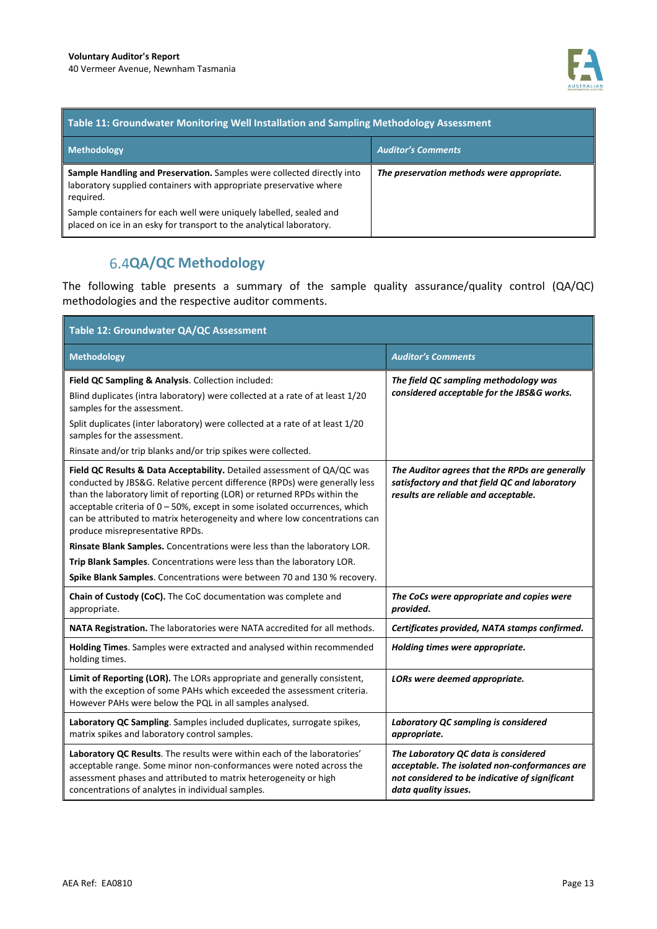

| Table 11: Groundwater Monitoring Well Installation and Sampling Methodology Assessment                                                                    |                                            |  |
|-----------------------------------------------------------------------------------------------------------------------------------------------------------|--------------------------------------------|--|
| <b>Methodology</b>                                                                                                                                        | <b>Auditor's Comments</b>                  |  |
| Sample Handling and Preservation. Samples were collected directly into<br>laboratory supplied containers with appropriate preservative where<br>required. | The preservation methods were appropriate. |  |
| Sample containers for each well were uniquely labelled, sealed and<br>placed on ice in an esky for transport to the analytical laboratory.                |                                            |  |

## **QA/QC Methodology**

The following table presents a summary of the sample quality assurance/quality control (QA/QC) methodologies and the respective auditor comments.

| Table 12: Groundwater QA/QC Assessment                                                                                                                                                                                                                                                                                                                                                                                              |                                                                                                                                                                 |  |  |
|-------------------------------------------------------------------------------------------------------------------------------------------------------------------------------------------------------------------------------------------------------------------------------------------------------------------------------------------------------------------------------------------------------------------------------------|-----------------------------------------------------------------------------------------------------------------------------------------------------------------|--|--|
| <b>Methodology</b>                                                                                                                                                                                                                                                                                                                                                                                                                  | <b>Auditor's Comments</b>                                                                                                                                       |  |  |
| Field QC Sampling & Analysis. Collection included:<br>Blind duplicates (intra laboratory) were collected at a rate of at least 1/20<br>samples for the assessment.<br>Split duplicates (inter laboratory) were collected at a rate of at least 1/20<br>samples for the assessment.<br>Rinsate and/or trip blanks and/or trip spikes were collected.                                                                                 | The field QC sampling methodology was<br>considered acceptable for the JBS&G works.                                                                             |  |  |
| Field QC Results & Data Acceptability. Detailed assessment of QA/QC was<br>conducted by JBS&G. Relative percent difference (RPDs) were generally less<br>than the laboratory limit of reporting (LOR) or returned RPDs within the<br>acceptable criteria of $0 - 50$ %, except in some isolated occurrences, which<br>can be attributed to matrix heterogeneity and where low concentrations can<br>produce misrepresentative RPDs. | The Auditor agrees that the RPDs are generally<br>satisfactory and that field QC and laboratory<br>results are reliable and acceptable.                         |  |  |
| Rinsate Blank Samples. Concentrations were less than the laboratory LOR.                                                                                                                                                                                                                                                                                                                                                            |                                                                                                                                                                 |  |  |
| Trip Blank Samples. Concentrations were less than the laboratory LOR.                                                                                                                                                                                                                                                                                                                                                               |                                                                                                                                                                 |  |  |
| Spike Blank Samples. Concentrations were between 70 and 130 % recovery.                                                                                                                                                                                                                                                                                                                                                             |                                                                                                                                                                 |  |  |
| Chain of Custody (CoC). The CoC documentation was complete and<br>appropriate.                                                                                                                                                                                                                                                                                                                                                      | The CoCs were appropriate and copies were<br>provided.                                                                                                          |  |  |
| NATA Registration. The laboratories were NATA accredited for all methods.                                                                                                                                                                                                                                                                                                                                                           | Certificates provided, NATA stamps confirmed.                                                                                                                   |  |  |
| Holding Times. Samples were extracted and analysed within recommended<br>holding times.                                                                                                                                                                                                                                                                                                                                             | Holding times were appropriate.                                                                                                                                 |  |  |
| Limit of Reporting (LOR). The LORs appropriate and generally consistent,<br>with the exception of some PAHs which exceeded the assessment criteria.<br>However PAHs were below the PQL in all samples analysed.                                                                                                                                                                                                                     | LORs were deemed appropriate.                                                                                                                                   |  |  |
| Laboratory QC Sampling. Samples included duplicates, surrogate spikes,<br>matrix spikes and laboratory control samples.                                                                                                                                                                                                                                                                                                             | Laboratory QC sampling is considered<br>appropriate.                                                                                                            |  |  |
| Laboratory QC Results. The results were within each of the laboratories'<br>acceptable range. Some minor non-conformances were noted across the<br>assessment phases and attributed to matrix heterogeneity or high<br>concentrations of analytes in individual samples.                                                                                                                                                            | The Laboratory QC data is considered<br>acceptable. The isolated non-conformances are<br>not considered to be indicative of significant<br>data quality issues. |  |  |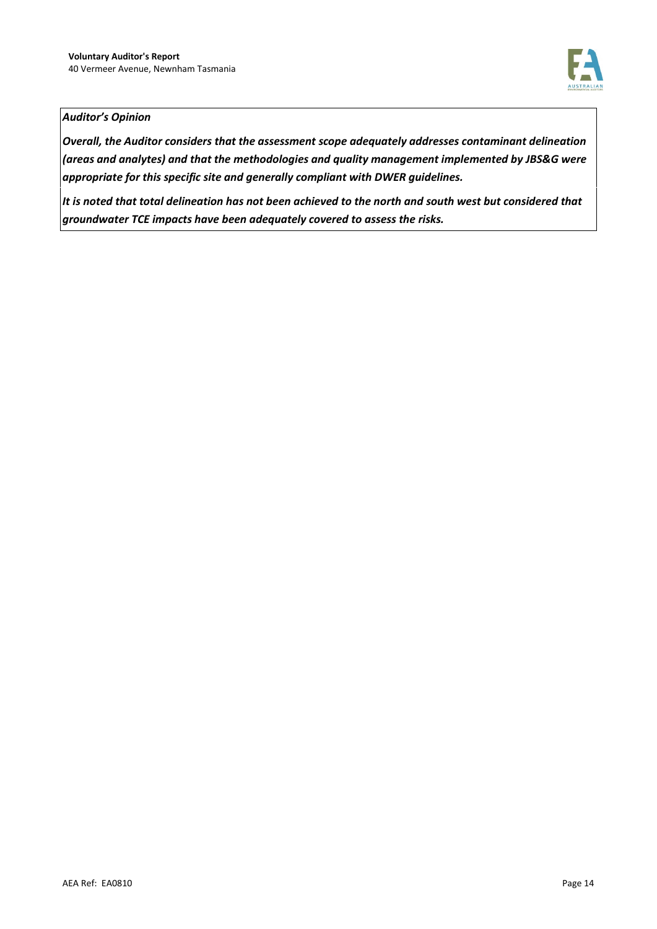

#### *Auditor's Opinion*

*Overall, the Auditor considers that the assessment scope adequately addresses contaminant delineation (areas and analytes) and that the methodologies and quality management implemented by JBS&G were appropriate for this specific site and generally compliant with DWER guidelines.* 

*It is noted that total delineation has not been achieved to the north and south west but considered that groundwater TCE impacts have been adequately covered to assess the risks.*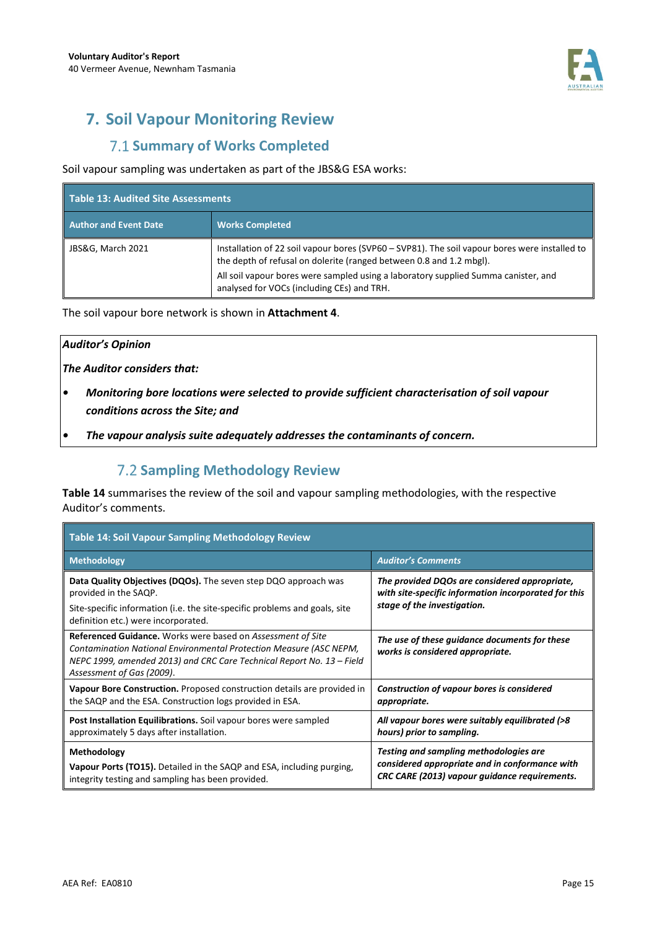

# **7. Soil Vapour Monitoring Review**

## **7.1 Summary of Works Completed**

#### Soil vapour sampling was undertaken as part of the JBS&G ESA works:

| Table 13: Audited Site Assessments |                                                                                                                                                                      |  |
|------------------------------------|----------------------------------------------------------------------------------------------------------------------------------------------------------------------|--|
| <b>Author and Event Date</b>       | <b>Works Completed</b>                                                                                                                                               |  |
| JBS&G, March 2021                  | Installation of 22 soil vapour bores (SVP60 - SVP81). The soil vapour bores were installed to<br>the depth of refusal on dolerite (ranged between 0.8 and 1.2 mbgl). |  |
|                                    | All soil vapour bores were sampled using a laboratory supplied Summa canister, and<br>analysed for VOCs (including CEs) and TRH.                                     |  |

The soil vapour bore network is shown in **Attachment 4**.

#### *Auditor's Opinion*

*The Auditor considers that:* 

- *Monitoring bore locations were selected to provide sufficient characterisation of soil vapour conditions across the Site; and*
- *The vapour analysis suite adequately addresses the contaminants of concern.*

## **7.2 Sampling Methodology Review**

**Table 14** summarises the review of the soil and vapour sampling methodologies, with the respective Auditor's comments.

| <b>Table 14: Soil Vapour Sampling Methodology Review</b>                                                                                                                                                                                       |                                                                                   |  |  |
|------------------------------------------------------------------------------------------------------------------------------------------------------------------------------------------------------------------------------------------------|-----------------------------------------------------------------------------------|--|--|
| <b>Methodology</b>                                                                                                                                                                                                                             | <b>Auditor's Comments</b>                                                         |  |  |
| Data Quality Objectives (DQOs). The seven step DQO approach was                                                                                                                                                                                | The provided DQOs are considered appropriate,                                     |  |  |
| provided in the SAQP.                                                                                                                                                                                                                          | with site-specific information incorporated for this                              |  |  |
| Site-specific information (i.e. the site-specific problems and goals, site<br>definition etc.) were incorporated.                                                                                                                              | stage of the investigation.                                                       |  |  |
| <b>Referenced Guidance.</b> Works were based on Assessment of Site<br>Contamination National Environmental Protection Measure (ASC NEPM,<br>NEPC 1999, amended 2013) and CRC Care Technical Report No. 13 - Field<br>Assessment of Gas (2009). | The use of these guidance documents for these<br>works is considered appropriate. |  |  |
| Vapour Bore Construction. Proposed construction details are provided in                                                                                                                                                                        | Construction of vapour bores is considered                                        |  |  |
| the SAQP and the ESA. Construction logs provided in ESA.                                                                                                                                                                                       | appropriate.                                                                      |  |  |
| Post Installation Equilibrations. Soil vapour bores were sampled                                                                                                                                                                               | All vapour bores were suitably equilibrated (>8                                   |  |  |
| approximately 5 days after installation.                                                                                                                                                                                                       | hours) prior to sampling.                                                         |  |  |
| Methodology                                                                                                                                                                                                                                    | Testing and sampling methodologies are                                            |  |  |
| <b>Vapour Ports (TO15).</b> Detailed in the SAQP and ESA, including purging,                                                                                                                                                                   | considered appropriate and in conformance with                                    |  |  |
| integrity testing and sampling has been provided.                                                                                                                                                                                              | CRC CARE (2013) vapour guidance requirements.                                     |  |  |

Ŧ.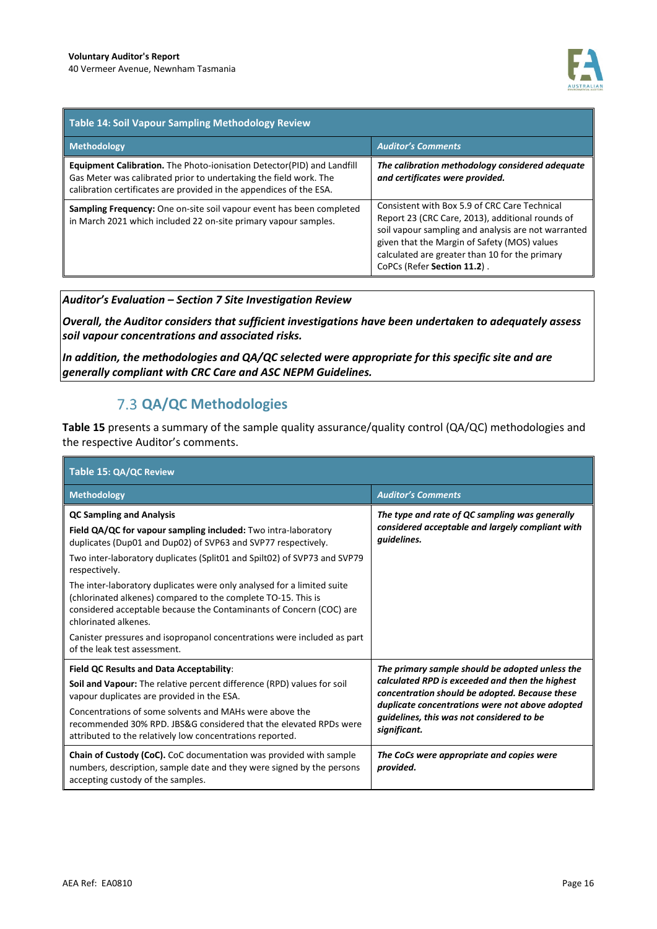

| <b>Table 14: Soil Vapour Sampling Methodology Review</b>                                                                                                                                                                  |                                                                                                                                                                                                                                                                                           |  |  |
|---------------------------------------------------------------------------------------------------------------------------------------------------------------------------------------------------------------------------|-------------------------------------------------------------------------------------------------------------------------------------------------------------------------------------------------------------------------------------------------------------------------------------------|--|--|
| <b>Methodology</b>                                                                                                                                                                                                        | <b>Auditor's Comments</b>                                                                                                                                                                                                                                                                 |  |  |
| <b>Equipment Calibration.</b> The Photo-ionisation Detector(PID) and Landfill<br>Gas Meter was calibrated prior to undertaking the field work. The<br>calibration certificates are provided in the appendices of the ESA. | The calibration methodology considered adequate<br>and certificates were provided.                                                                                                                                                                                                        |  |  |
| Sampling Frequency: One on-site soil vapour event has been completed<br>in March 2021 which included 22 on-site primary vapour samples.                                                                                   | Consistent with Box 5.9 of CRC Care Technical<br>Report 23 (CRC Care, 2013), additional rounds of<br>soil vapour sampling and analysis are not warranted<br>given that the Margin of Safety (MOS) values<br>calculated are greater than 10 for the primary<br>CoPCs (Refer Section 11.2). |  |  |

#### *Auditor's Evaluation – Section 7 Site Investigation Review*

*Overall, the Auditor considers that sufficient investigations have been undertaken to adequately assess soil vapour concentrations and associated risks.* 

*In addition, the methodologies and QA/QC selected were appropriate for this specific site and are generally compliant with CRC Care and ASC NEPM Guidelines.*

## **QA/QC Methodologies**

**Table 15** presents a summary of the sample quality assurance/quality control (QA/QC) methodologies and the respective Auditor's comments.

| Table 15: QA/QC Review                                                                                                                                                                                                                                                                                                                                                                                                                                                                                                                                                                                               |                                                                                                                                                                                                                                                                      |  |  |
|----------------------------------------------------------------------------------------------------------------------------------------------------------------------------------------------------------------------------------------------------------------------------------------------------------------------------------------------------------------------------------------------------------------------------------------------------------------------------------------------------------------------------------------------------------------------------------------------------------------------|----------------------------------------------------------------------------------------------------------------------------------------------------------------------------------------------------------------------------------------------------------------------|--|--|
| <b>Methodology</b>                                                                                                                                                                                                                                                                                                                                                                                                                                                                                                                                                                                                   | <b>Auditor's Comments</b>                                                                                                                                                                                                                                            |  |  |
| <b>QC Sampling and Analysis</b><br>Field QA/QC for vapour sampling included: Two intra-laboratory<br>duplicates (Dup01 and Dup02) of SVP63 and SVP77 respectively.<br>Two inter-laboratory duplicates (Split01 and Spilt02) of SVP73 and SVP79<br>respectively.<br>The inter-laboratory duplicates were only analysed for a limited suite<br>(chlorinated alkenes) compared to the complete TO-15. This is<br>considered acceptable because the Contaminants of Concern (COC) are<br>chlorinated alkenes.<br>Canister pressures and isopropanol concentrations were included as part<br>of the leak test assessment. | The type and rate of QC sampling was generally<br>considered acceptable and largely compliant with<br>quidelines.                                                                                                                                                    |  |  |
| Field QC Results and Data Acceptability:<br><b>Soil and Vapour:</b> The relative percent difference (RPD) values for soil<br>vapour duplicates are provided in the ESA.<br>Concentrations of some solvents and MAHs were above the<br>recommended 30% RPD. JBS&G considered that the elevated RPDs were<br>attributed to the relatively low concentrations reported.                                                                                                                                                                                                                                                 | The primary sample should be adopted unless the<br>calculated RPD is exceeded and then the highest<br>concentration should be adopted. Because these<br>duplicate concentrations were not above adopted<br>quidelines, this was not considered to be<br>significant. |  |  |
| Chain of Custody (CoC). CoC documentation was provided with sample<br>numbers, description, sample date and they were signed by the persons<br>accepting custody of the samples.                                                                                                                                                                                                                                                                                                                                                                                                                                     | The CoCs were appropriate and copies were<br>provided.                                                                                                                                                                                                               |  |  |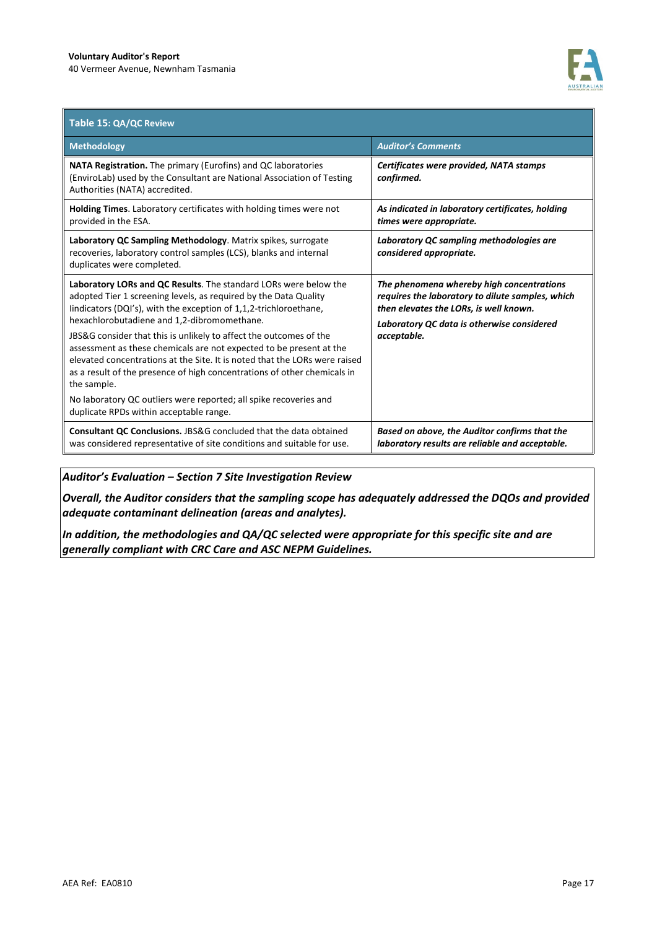

| Table 15: QA/QC Review                                                                                                                                                                                                                                                                                             |                                                                                                                                                                                       |
|--------------------------------------------------------------------------------------------------------------------------------------------------------------------------------------------------------------------------------------------------------------------------------------------------------------------|---------------------------------------------------------------------------------------------------------------------------------------------------------------------------------------|
| <b>Methodology</b>                                                                                                                                                                                                                                                                                                 | <b>Auditor's Comments</b>                                                                                                                                                             |
| NATA Registration. The primary (Eurofins) and QC laboratories<br>(EnviroLab) used by the Consultant are National Association of Testing<br>Authorities (NATA) accredited.                                                                                                                                          | Certificates were provided, NATA stamps<br>confirmed.                                                                                                                                 |
| <b>Holding Times.</b> Laboratory certificates with holding times were not<br>provided in the ESA.                                                                                                                                                                                                                  | As indicated in laboratory certificates, holding<br>times were appropriate.                                                                                                           |
| Laboratory QC Sampling Methodology. Matrix spikes, surrogate<br>recoveries, laboratory control samples (LCS), blanks and internal<br>duplicates were completed.                                                                                                                                                    | Laboratory QC sampling methodologies are<br>considered appropriate.                                                                                                                   |
| Laboratory LORs and QC Results. The standard LORs were below the<br>adopted Tier 1 screening levels, as required by the Data Quality<br>lindicators (DQI's), with the exception of 1,1,2-trichloroethane,<br>hexachlorobutadiene and 1,2-dibromomethane.                                                           | The phenomena whereby high concentrations<br>requires the laboratory to dilute samples, which<br>then elevates the LORs, is well known.<br>Laboratory QC data is otherwise considered |
| JBS&G consider that this is unlikely to affect the outcomes of the<br>assessment as these chemicals are not expected to be present at the<br>elevated concentrations at the Site. It is noted that the LORs were raised<br>as a result of the presence of high concentrations of other chemicals in<br>the sample. | acceptable.                                                                                                                                                                           |
| No laboratory QC outliers were reported; all spike recoveries and<br>duplicate RPDs within acceptable range.                                                                                                                                                                                                       |                                                                                                                                                                                       |
| <b>Consultant OC Conclusions. JBS&amp;G concluded that the data obtained</b><br>was considered representative of site conditions and suitable for use.                                                                                                                                                             | Based on above, the Auditor confirms that the<br>laboratory results are reliable and acceptable.                                                                                      |

*Auditor's Evaluation – Section 7 Site Investigation Review* 

*Overall, the Auditor considers that the sampling scope has adequately addressed the DQOs and provided adequate contaminant delineation (areas and analytes).* 

*In addition, the methodologies and QA/QC selected were appropriate for this specific site and are generally compliant with CRC Care and ASC NEPM Guidelines.*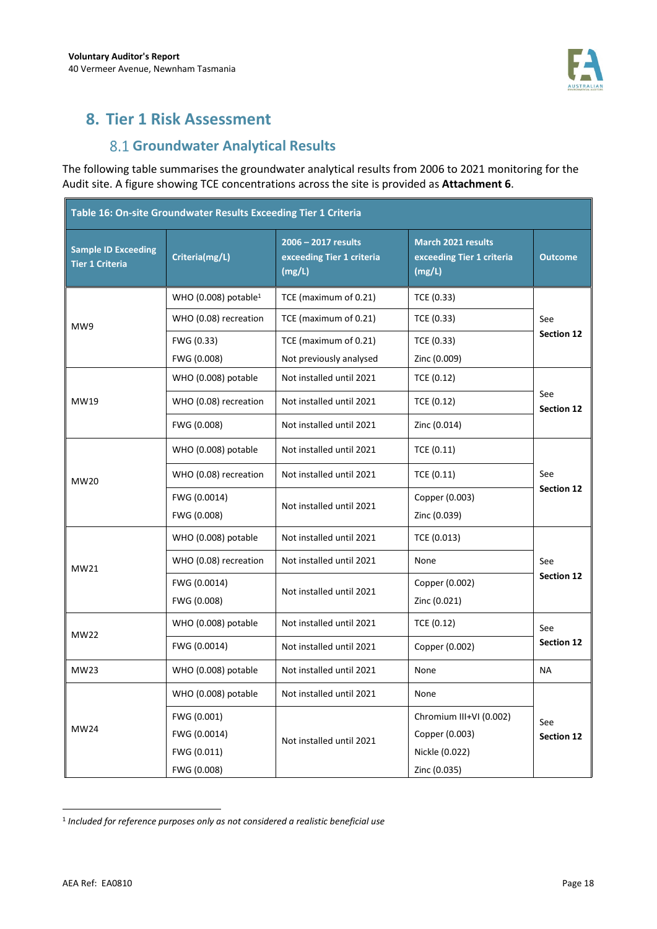

## **8. Tier 1 Risk Assessment**

## **Groundwater Analytical Results**

The following table summarises the groundwater analytical results from 2006 to 2021 monitoring for the Audit site. A figure showing TCE concentrations across the site is provided as **Attachment 6**.

| Table 16: On-site Groundwater Results Exceeding Tier 1 Criteria |                                  |                                                                                                                                |                         |                          |  |
|-----------------------------------------------------------------|----------------------------------|--------------------------------------------------------------------------------------------------------------------------------|-------------------------|--------------------------|--|
| <b>Sample ID Exceeding</b><br><b>Tier 1 Criteria</b>            | Criteria(mg/L)                   | 2006 - 2017 results<br><b>March 2021 results</b><br>exceeding Tier 1 criteria<br>exceeding Tier 1 criteria<br>(mg/L)<br>(mg/L) |                         | <b>Outcome</b>           |  |
|                                                                 | WHO (0.008) potable <sup>1</sup> | TCE (maximum of 0.21)                                                                                                          | TCE (0.33)              |                          |  |
| MW9                                                             | WHO (0.08) recreation            | TCE (maximum of 0.21)                                                                                                          | TCE (0.33)              | See                      |  |
|                                                                 | FWG (0.33)                       | TCE (maximum of 0.21)                                                                                                          | TCE (0.33)              | <b>Section 12</b>        |  |
|                                                                 | FWG (0.008)                      | Not previously analysed                                                                                                        | Zinc (0.009)            |                          |  |
|                                                                 | WHO (0.008) potable              | Not installed until 2021                                                                                                       | TCE (0.12)              | See<br><b>Section 12</b> |  |
| MW19                                                            | WHO (0.08) recreation            | Not installed until 2021                                                                                                       | TCE (0.12)              |                          |  |
|                                                                 | FWG (0.008)                      | Not installed until 2021                                                                                                       | Zinc (0.014)            |                          |  |
|                                                                 | WHO (0.008) potable              | Not installed until 2021                                                                                                       | TCE (0.11)              |                          |  |
| MW20                                                            | WHO (0.08) recreation            | Not installed until 2021                                                                                                       | TCE (0.11)              | See                      |  |
|                                                                 | FWG (0.0014)                     |                                                                                                                                | Copper (0.003)          | Section 12               |  |
|                                                                 | FWG (0.008)                      | Not installed until 2021                                                                                                       | Zinc (0.039)            |                          |  |
| MW21                                                            | WHO (0.008) potable              | Not installed until 2021                                                                                                       | TCE (0.013)             |                          |  |
|                                                                 | WHO (0.08) recreation            | Not installed until 2021                                                                                                       | None                    | See                      |  |
|                                                                 | FWG (0.0014)                     | Not installed until 2021                                                                                                       | Copper (0.002)          | <b>Section 12</b>        |  |
|                                                                 | FWG (0.008)                      |                                                                                                                                | Zinc (0.021)            |                          |  |
| <b>MW22</b>                                                     | WHO (0.008) potable              | Not installed until 2021                                                                                                       | TCE (0.12)              | See                      |  |
|                                                                 | FWG (0.0014)                     | Not installed until 2021                                                                                                       | Copper (0.002)          | <b>Section 12</b>        |  |
| MW23                                                            | WHO (0.008) potable              | Not installed until 2021                                                                                                       | None                    | <b>NA</b>                |  |
| <b>MW24</b>                                                     | WHO (0.008) potable              | Not installed until 2021                                                                                                       | None                    |                          |  |
|                                                                 | FWG (0.001)                      |                                                                                                                                | Chromium III+VI (0.002) | See                      |  |
|                                                                 | FWG (0.0014)                     | Not installed until 2021                                                                                                       | Copper (0.003)          | <b>Section 12</b>        |  |
|                                                                 | FWG (0.011)                      |                                                                                                                                | Nickle (0.022)          |                          |  |
|                                                                 | FWG (0.008)                      |                                                                                                                                | Zinc (0.035)            |                          |  |

<sup>&</sup>lt;sup>1</sup> Included for reference purposes only as not considered a realistic beneficial use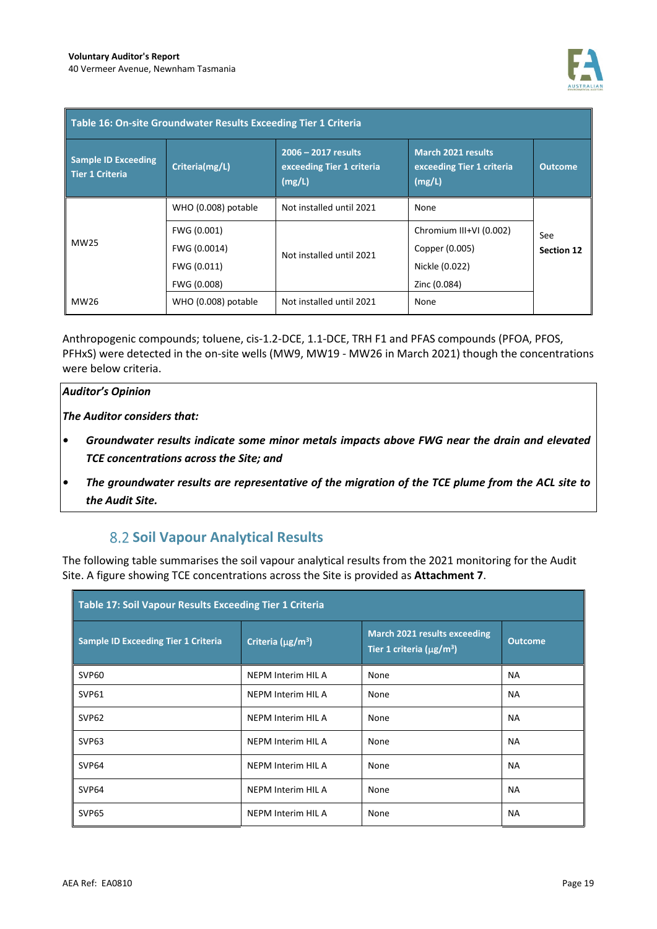

| Table 16: On-site Groundwater Results Exceeding Tier 1 Criteria |                                                           |                                                            |                                                                             |                          |  |
|-----------------------------------------------------------------|-----------------------------------------------------------|------------------------------------------------------------|-----------------------------------------------------------------------------|--------------------------|--|
| <b>Sample ID Exceeding</b><br><b>Tier 1 Criteria</b>            | Criteria(mg/L)                                            | 2006 - 2017 results<br>exceeding Tier 1 criteria<br>(mg/L) | <b>March 2021 results</b><br>exceeding Tier 1 criteria<br>(mg/L)            | <b>Outcome</b>           |  |
|                                                                 | WHO (0.008) potable                                       | Not installed until 2021                                   | None                                                                        |                          |  |
| MW25                                                            | FWG (0.001)<br>FWG (0.0014)<br>FWG (0.011)<br>FWG (0.008) | Not installed until 2021                                   | Chromium III+VI (0.002)<br>Copper (0.005)<br>Nickle (0.022)<br>Zinc (0.084) | See<br><b>Section 12</b> |  |
| MW26                                                            | WHO (0.008) potable                                       | Not installed until 2021                                   | None                                                                        |                          |  |

Anthropogenic compounds; toluene, cis-1.2-DCE, 1.1-DCE, TRH F1 and PFAS compounds (PFOA, PFOS, PFHxS) were detected in the on-site wells (MW9, MW19 - MW26 in March 2021) though the concentrations were below criteria.

#### *Auditor's Opinion*

*The Auditor considers that:* 

- *Groundwater results indicate some minor metals impacts above FWG near the drain and elevated TCE concentrations across the Site; and*
- *The groundwater results are representative of the migration of the TCE plume from the ACL site to the Audit Site.*

## **8.2 Soil Vapour Analytical Results**

The following table summarises the soil vapour analytical results from the 2021 monitoring for the Audit Site. A figure showing TCE concentrations across the Site is provided as **Attachment 7**.

| Table 17: Soil Vapour Results Exceeding Tier 1 Criteria |                               |                                                                            |                |
|---------------------------------------------------------|-------------------------------|----------------------------------------------------------------------------|----------------|
| Sample ID Exceeding Tier 1 Criteria                     | Criteria (µg/m <sup>3</sup> ) | March 2021 results exceeding<br>Tier 1 criteria ( $\mu$ g/m <sup>3</sup> ) | <b>Outcome</b> |
| SVP60                                                   | NEPM Interim HIL A            | None                                                                       | <b>NA</b>      |
| SVP61                                                   | NEPM Interim HIL A            | None                                                                       | <b>NA</b>      |
| SVP <sub>62</sub>                                       | NEPM Interim HIL A            | None                                                                       | <b>NA</b>      |
| SVP63                                                   | NEPM Interim HIL A            | None                                                                       | <b>NA</b>      |
| SVP64                                                   | NEPM Interim HIL A            | None                                                                       | <b>NA</b>      |
| SVP64                                                   | NEPM Interim HIL A            | None                                                                       | <b>NA</b>      |
| SVP65                                                   | NEPM Interim HIL A            | None                                                                       | <b>NA</b>      |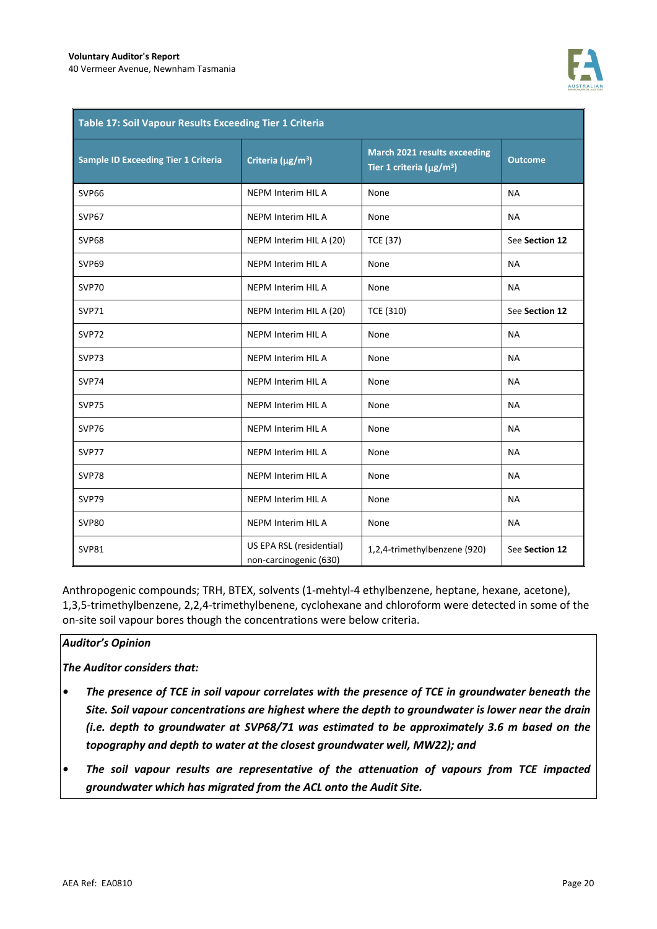

| Table 17: Soil Vapour Results Exceeding Tier 1 Criteria |                                                    |                                                                                   |                |
|---------------------------------------------------------|----------------------------------------------------|-----------------------------------------------------------------------------------|----------------|
| <b>Sample ID Exceeding Tier 1 Criteria</b>              | Criteria (µg/m <sup>3</sup> )                      | <b>March 2021 results exceeding</b><br>Tier 1 criteria ( $\mu$ g/m <sup>3</sup> ) | <b>Outcome</b> |
| SVP66                                                   | NEPM Interim HIL A                                 | None                                                                              | <b>NA</b>      |
| SVP67                                                   | <b>NEPM Interim HIL A</b>                          | None                                                                              | <b>NA</b>      |
| SVP68                                                   | NEPM Interim HIL A (20)                            | <b>TCE (37)</b>                                                                   | See Section 12 |
| SVP69                                                   | <b>NEPM Interim HIL A</b>                          | None                                                                              | <b>NA</b>      |
| SVP70                                                   | <b>NEPM Interim HIL A</b>                          | None                                                                              | <b>NA</b>      |
| <b>SVP71</b>                                            | NEPM Interim HIL A (20)                            | TCE (310)                                                                         | See Section 12 |
| SVP72                                                   | NEPM Interim HIL A                                 | None                                                                              | <b>NA</b>      |
| SVP73                                                   | NEPM Interim HIL A                                 | None                                                                              | <b>NA</b>      |
| <b>SVP74</b>                                            | NEPM Interim HIL A                                 | None                                                                              | <b>NA</b>      |
| <b>SVP75</b>                                            | NEPM Interim HIL A                                 | None                                                                              | <b>NA</b>      |
| <b>SVP76</b>                                            | NEPM Interim HIL A                                 | None                                                                              | <b>NA</b>      |
| <b>SVP77</b>                                            | NEPM Interim HIL A                                 | None                                                                              | <b>NA</b>      |
| <b>SVP78</b>                                            | <b>NEPM Interim HIL A</b>                          | None                                                                              | <b>NA</b>      |
| <b>SVP79</b>                                            | NEPM Interim HIL A                                 | None                                                                              | <b>NA</b>      |
| <b>SVP80</b>                                            | <b>NEPM Interim HIL A</b>                          | None                                                                              | <b>NA</b>      |
| <b>SVP81</b>                                            | US EPA RSL (residential)<br>non-carcinogenic (630) | 1,2,4-trimethylbenzene (920)                                                      | See Section 12 |

Anthropogenic compounds; TRH, BTEX, solvents (1-mehtyl-4 ethylbenzene, heptane, hexane, acetone), 1,3,5-trimethylbenzene, 2,2,4-trimethylbenene, cyclohexane and chloroform were detected in some of the on-site soil vapour bores though the concentrations were below criteria.

#### *Auditor's Opinion*

*The Auditor considers that:* 

- *The presence of TCE in soil vapour correlates with the presence of TCE in groundwater beneath the Site. Soil vapour concentrations are highest where the depth to groundwater is lower near the drain (i.e. depth to groundwater at SVP68/71 was estimated to be approximately 3.6 m based on the topography and depth to water at the closest groundwater well, MW22); and*
- *The soil vapour results are representative of the attenuation of vapours from TCE impacted groundwater which has migrated from the ACL onto the Audit Site.*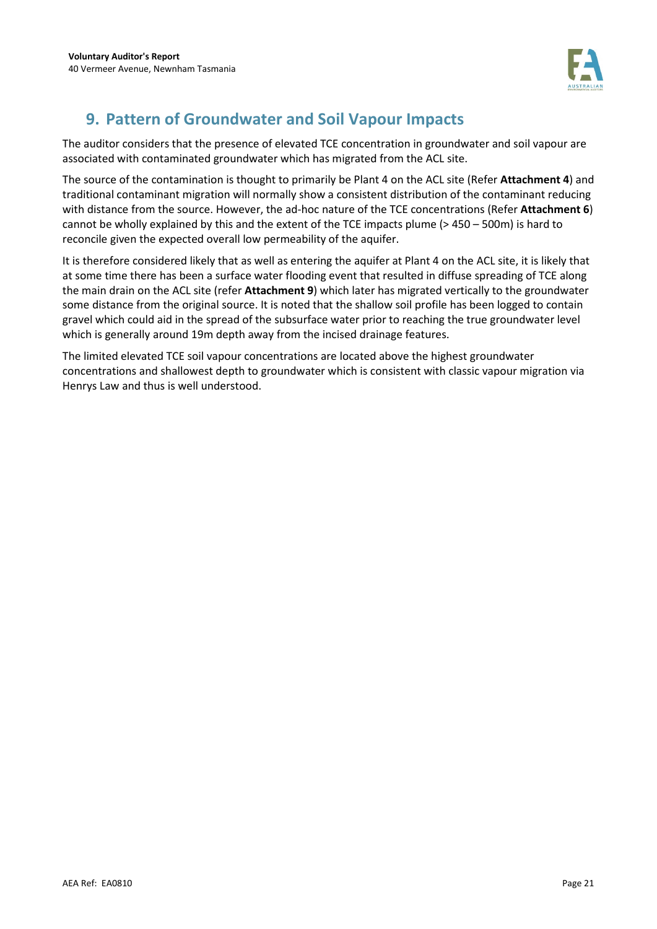

# **9. Pattern of Groundwater and Soil Vapour Impacts**

The auditor considers that the presence of elevated TCE concentration in groundwater and soil vapour are associated with contaminated groundwater which has migrated from the ACL site.

The source of the contamination is thought to primarily be Plant 4 on the ACL site (Refer **Attachment 4**) and traditional contaminant migration will normally show a consistent distribution of the contaminant reducing with distance from the source. However, the ad-hoc nature of the TCE concentrations (Refer **Attachment 6**) cannot be wholly explained by this and the extent of the TCE impacts plume (> 450 – 500m) is hard to reconcile given the expected overall low permeability of the aquifer.

It is therefore considered likely that as well as entering the aquifer at Plant 4 on the ACL site, it is likely that at some time there has been a surface water flooding event that resulted in diffuse spreading of TCE along the main drain on the ACL site (refer **Attachment 9**) which later has migrated vertically to the groundwater some distance from the original source. It is noted that the shallow soil profile has been logged to contain gravel which could aid in the spread of the subsurface water prior to reaching the true groundwater level which is generally around 19m depth away from the incised drainage features.

The limited elevated TCE soil vapour concentrations are located above the highest groundwater concentrations and shallowest depth to groundwater which is consistent with classic vapour migration via Henrys Law and thus is well understood.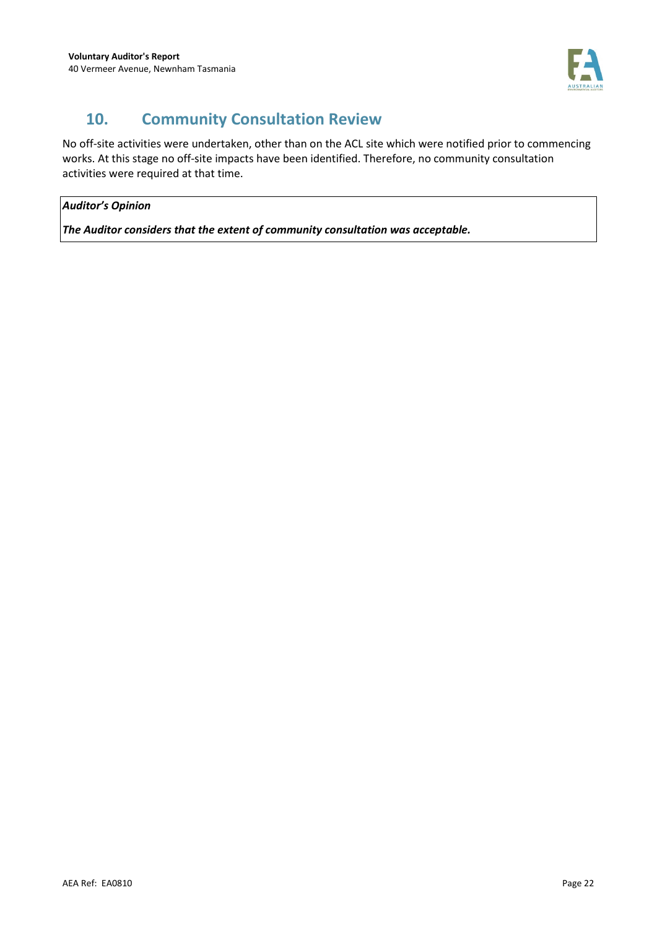

# **10. Community Consultation Review**

No off-site activities were undertaken, other than on the ACL site which were notified prior to commencing works. At this stage no off-site impacts have been identified. Therefore, no community consultation activities were required at that time.

### *Auditor's Opinion*

*The Auditor considers that the extent of community consultation was acceptable.*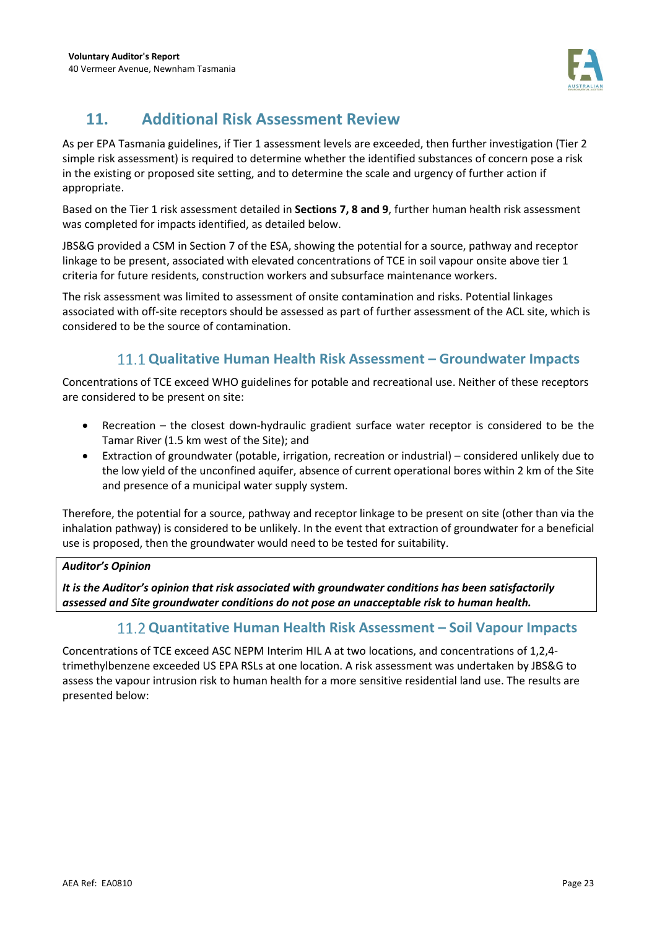

# **11. Additional Risk Assessment Review**

As per EPA Tasmania guidelines, if Tier 1 assessment levels are exceeded, then further investigation (Tier 2 simple risk assessment) is required to determine whether the identified substances of concern pose a risk in the existing or proposed site setting, and to determine the scale and urgency of further action if appropriate.

Based on the Tier 1 risk assessment detailed in **Sections 7, 8 and 9**, further human health risk assessment was completed for impacts identified, as detailed below.

JBS&G provided a CSM in Section 7 of the ESA, showing the potential for a source, pathway and receptor linkage to be present, associated with elevated concentrations of TCE in soil vapour onsite above tier 1 criteria for future residents, construction workers and subsurface maintenance workers.

The risk assessment was limited to assessment of onsite contamination and risks. Potential linkages associated with off-site receptors should be assessed as part of further assessment of the ACL site, which is considered to be the source of contamination.

## **Qualitative Human Health Risk Assessment – Groundwater Impacts**

Concentrations of TCE exceed WHO guidelines for potable and recreational use. Neither of these receptors are considered to be present on site:

- Recreation the closest down-hydraulic gradient surface water receptor is considered to be the Tamar River (1.5 km west of the Site); and
- Extraction of groundwater (potable, irrigation, recreation or industrial) considered unlikely due to the low yield of the unconfined aquifer, absence of current operational bores within 2 km of the Site and presence of a municipal water supply system.

Therefore, the potential for a source, pathway and receptor linkage to be present on site (other than via the inhalation pathway) is considered to be unlikely. In the event that extraction of groundwater for a beneficial use is proposed, then the groundwater would need to be tested for suitability.

### *Auditor's Opinion*

*It is the Auditor's opinion that risk associated with groundwater conditions has been satisfactorily assessed and Site groundwater conditions do not pose an unacceptable risk to human health.* 

## **Quantitative Human Health Risk Assessment – Soil Vapour Impacts**

Concentrations of TCE exceed ASC NEPM Interim HIL A at two locations, and concentrations of 1,2,4 trimethylbenzene exceeded US EPA RSLs at one location. A risk assessment was undertaken by JBS&G to assess the vapour intrusion risk to human health for a more sensitive residential land use. The results are presented below: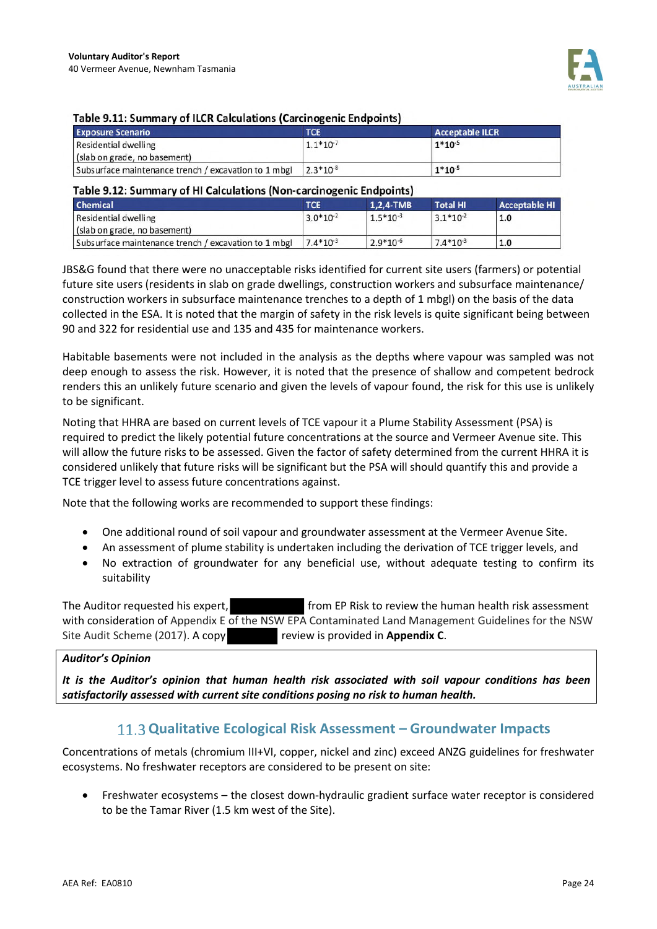

#### Table 9.11: Summary of ILCR Calculations (Carcinogenic Endpoints)

| <b>Exposure Scenario</b>                             | <b>TCE</b>    | <b>Acceptable ILCR</b> |
|------------------------------------------------------|---------------|------------------------|
| Residential dwelling                                 | $1.1*10^{-7}$ | $1*10^{-5}$            |
| (slab on grade, no basement)                         |               |                        |
| Subsurface maintenance trench / excavation to 1 mbgl | $2.3*10-8$    | $1*10^{-5}$            |

#### Table 9.12: Summary of HI Calculations (Non-carcinogenic Endpoints)

| Chemical                                             | TCE           | $1,2,4$ -TMB  | <b>Total HI</b> | <b>Acceptable HI</b> |
|------------------------------------------------------|---------------|---------------|-----------------|----------------------|
| Residential dwelling<br>(slab on grade, no basement) | $3.0*10-2$    | $1.5*10^{-3}$ | $3.1*10-2$      | 1.0                  |
| Subsurface maintenance trench / excavation to 1 mbgl | $7.4*10^{-3}$ | $2.9*10-6$    | $7.4*10^{-3}$   | 1.0                  |

JBS&G found that there were no unacceptable risks identified for current site users (farmers) or potential future site users (residents in slab on grade dwellings, construction workers and subsurface maintenance/ construction workers in subsurface maintenance trenches to a depth of 1 mbgl) on the basis of the data collected in the ESA. It is noted that the margin of safety in the risk levels is quite significant being between 90 and 322 for residential use and 135 and 435 for maintenance workers.

Habitable basements were not included in the analysis as the depths where vapour was sampled was not deep enough to assess the risk. However, it is noted that the presence of shallow and competent bedrock renders this an unlikely future scenario and given the levels of vapour found, the risk for this use is unlikely to be significant.

Noting that HHRA are based on current levels of TCE vapour it a Plume Stability Assessment (PSA) is required to predict the likely potential future concentrations at the source and Vermeer Avenue site. This will allow the future risks to be assessed. Given the factor of safety determined from the current HHRA it is considered unlikely that future risks will be significant but the PSA will should quantify this and provide a TCE trigger level to assess future concentrations against.

Note that the following works are recommended to support these findings:

- One additional round of soil vapour and groundwater assessment at the Vermeer Avenue Site.
- An assessment of plume stability is undertaken including the derivation of TCE trigger levels, and
- No extraction of groundwater for any beneficial use, without adequate testing to confirm its suitability

The Auditor requested his expert, from EP Risk to review the human health risk assessment with consideration of Appendix E of the NSW EPA Contaminated Land Management Guidelines for the NSW Site Audit Scheme (2017). A copy review is provided in **Appendix C**.

#### *Auditor's Opinion*

*It is the Auditor's opinion that human health risk associated with soil vapour conditions has been satisfactorily assessed with current site conditions posing no risk to human health.* 

### **Qualitative Ecological Risk Assessment – Groundwater Impacts**

Concentrations of metals (chromium III+VI, copper, nickel and zinc) exceed ANZG guidelines for freshwater ecosystems. No freshwater receptors are considered to be present on site:

• Freshwater ecosystems – the closest down-hydraulic gradient surface water receptor is considered to be the Tamar River (1.5 km west of the Site).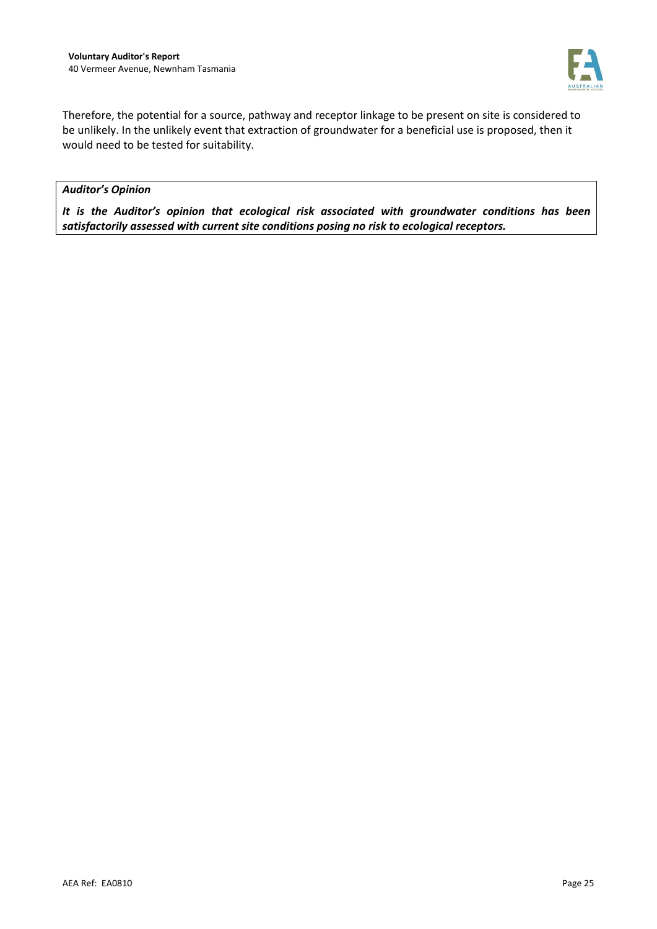

Therefore, the potential for a source, pathway and receptor linkage to be present on site is considered to be unlikely. In the unlikely event that extraction of groundwater for a beneficial use is proposed, then it would need to be tested for suitability.

#### *Auditor's Opinion*

*It is the Auditor's opinion that ecological risk associated with groundwater conditions has been satisfactorily assessed with current site conditions posing no risk to ecological receptors.*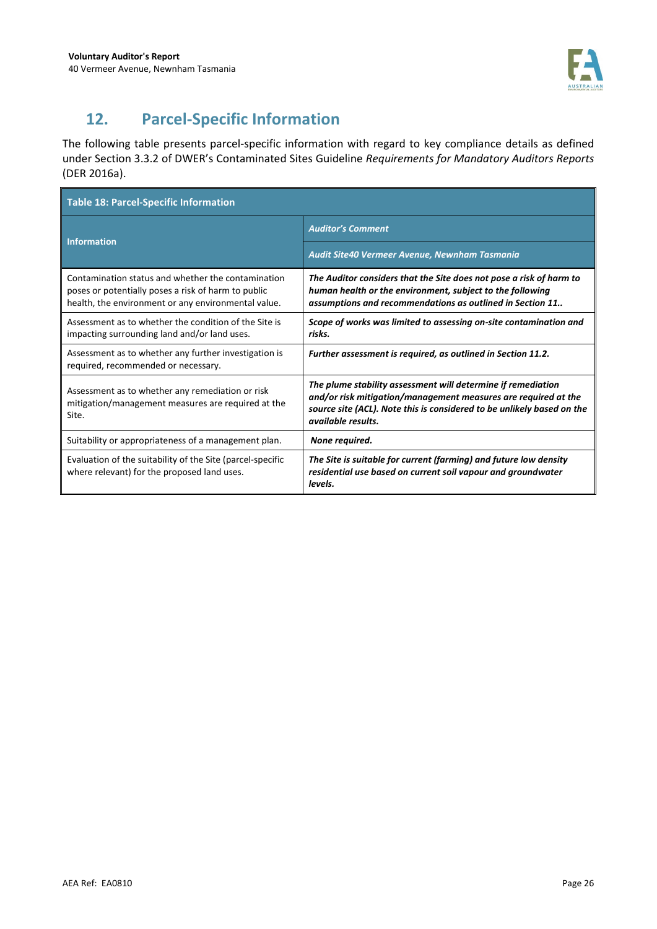

# **12. Parcel-Specific Information**

The following table presents parcel-specific information with regard to key compliance details as defined under Section 3.3.2 of DWER's Contaminated Sites Guideline *Requirements for Mandatory Auditors Reports*  (DER 2016a).

| <b>Table 18: Parcel-Specific Information</b>                                                                                                                     |                                                                                                                                                                                                                                |  |  |
|------------------------------------------------------------------------------------------------------------------------------------------------------------------|--------------------------------------------------------------------------------------------------------------------------------------------------------------------------------------------------------------------------------|--|--|
| <b>Information</b>                                                                                                                                               | <b>Auditor's Comment</b>                                                                                                                                                                                                       |  |  |
|                                                                                                                                                                  | Audit Site40 Vermeer Avenue, Newnham Tasmania                                                                                                                                                                                  |  |  |
| Contamination status and whether the contamination<br>poses or potentially poses a risk of harm to public<br>health, the environment or any environmental value. | The Auditor considers that the Site does not pose a risk of harm to<br>human health or the environment, subject to the following<br>assumptions and recommendations as outlined in Section 11                                  |  |  |
| Assessment as to whether the condition of the Site is<br>impacting surrounding land and/or land uses.                                                            | Scope of works was limited to assessing on-site contamination and<br>risks.                                                                                                                                                    |  |  |
| Assessment as to whether any further investigation is<br>required, recommended or necessary.                                                                     | Further assessment is required, as outlined in Section 11.2.                                                                                                                                                                   |  |  |
| Assessment as to whether any remediation or risk<br>mitigation/management measures are required at the<br>Site.                                                  | The plume stability assessment will determine if remediation<br>and/or risk mitigation/management measures are required at the<br>source site (ACL). Note this is considered to be unlikely based on the<br>available results. |  |  |
| Suitability or appropriateness of a management plan.                                                                                                             | None required.                                                                                                                                                                                                                 |  |  |
| Evaluation of the suitability of the Site (parcel-specific<br>where relevant) for the proposed land uses.                                                        | The Site is suitable for current (farming) and future low density<br>residential use based on current soil vapour and groundwater<br>levels.                                                                                   |  |  |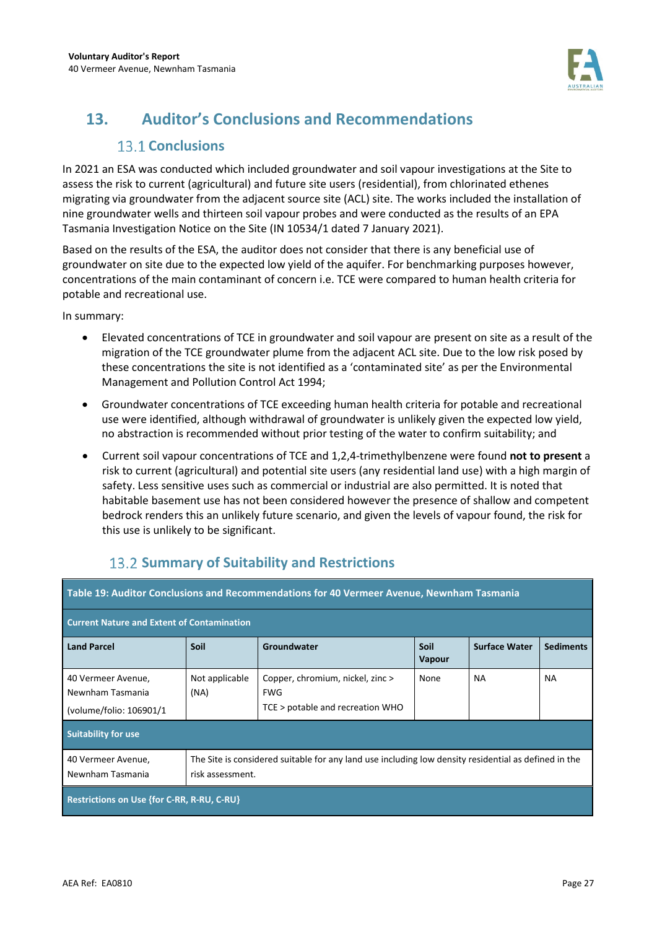

# **13. Auditor's Conclusions and Recommendations**

## **13.1 Conclusions**

In 2021 an ESA was conducted which included groundwater and soil vapour investigations at the Site to assess the risk to current (agricultural) and future site users (residential), from chlorinated ethenes migrating via groundwater from the adjacent source site (ACL) site. The works included the installation of nine groundwater wells and thirteen soil vapour probes and were conducted as the results of an EPA Tasmania Investigation Notice on the Site (IN 10534/1 dated 7 January 2021).

Based on the results of the ESA, the auditor does not consider that there is any beneficial use of groundwater on site due to the expected low yield of the aquifer. For benchmarking purposes however, concentrations of the main contaminant of concern i.e. TCE were compared to human health criteria for potable and recreational use.

In summary:

- Elevated concentrations of TCE in groundwater and soil vapour are present on site as a result of the migration of the TCE groundwater plume from the adjacent ACL site. Due to the low risk posed by these concentrations the site is not identified as a 'contaminated site' as per the Environmental Management and Pollution Control Act 1994;
- Groundwater concentrations of TCE exceeding human health criteria for potable and recreational use were identified, although withdrawal of groundwater is unlikely given the expected low yield, no abstraction is recommended without prior testing of the water to confirm suitability; and
- Current soil vapour concentrations of TCE and 1,2,4-trimethylbenzene were found **not to present** a risk to current (agricultural) and potential site users (any residential land use) with a high margin of safety. Less sensitive uses such as commercial or industrial are also permitted. It is noted that habitable basement use has not been considered however the presence of shallow and competent bedrock renders this an unlikely future scenario, and given the levels of vapour found, the risk for this use is unlikely to be significant.

| Table 19: Auditor Conclusions and Recommendations for 40 Vermeer Avenue, Newnham Tasmania                                                                          |                        |                                                                                    |                              |                      |                  |
|--------------------------------------------------------------------------------------------------------------------------------------------------------------------|------------------------|------------------------------------------------------------------------------------|------------------------------|----------------------|------------------|
| <b>Current Nature and Extent of Contamination</b>                                                                                                                  |                        |                                                                                    |                              |                      |                  |
| <b>Land Parcel</b>                                                                                                                                                 | Soil                   | Groundwater                                                                        | <b>Soil</b><br><b>Vapour</b> | <b>Surface Water</b> | <b>Sediments</b> |
| 40 Vermeer Avenue,<br>Newnham Tasmania<br>(volume/folio: 106901/1                                                                                                  | Not applicable<br>(NA) | Copper, chromium, nickel, zinc ><br><b>FWG</b><br>TCE > potable and recreation WHO | None                         | <b>NA</b>            | <b>NA</b>        |
| <b>Suitability for use</b>                                                                                                                                         |                        |                                                                                    |                              |                      |                  |
| The Site is considered suitable for any land use including low density residential as defined in the<br>40 Vermeer Avenue,<br>Newnham Tasmania<br>risk assessment. |                        |                                                                                    |                              |                      |                  |
| Restrictions on Use {for C-RR, R-RU, C-RU}                                                                                                                         |                        |                                                                                    |                              |                      |                  |

## **13.2 Summary of Suitability and Restrictions**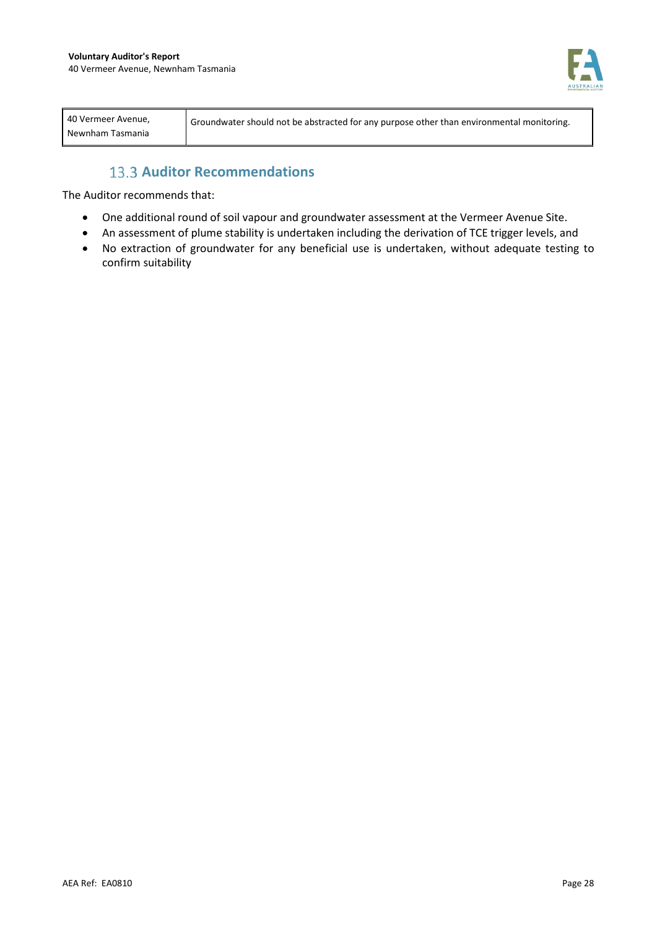

| Newnham Tasmania |
|------------------|
|------------------|

### **13.3 Auditor Recommendations**

The Auditor recommends that:

- One additional round of soil vapour and groundwater assessment at the Vermeer Avenue Site.
- An assessment of plume stability is undertaken including the derivation of TCE trigger levels, and
- No extraction of groundwater for any beneficial use is undertaken, without adequate testing to confirm suitability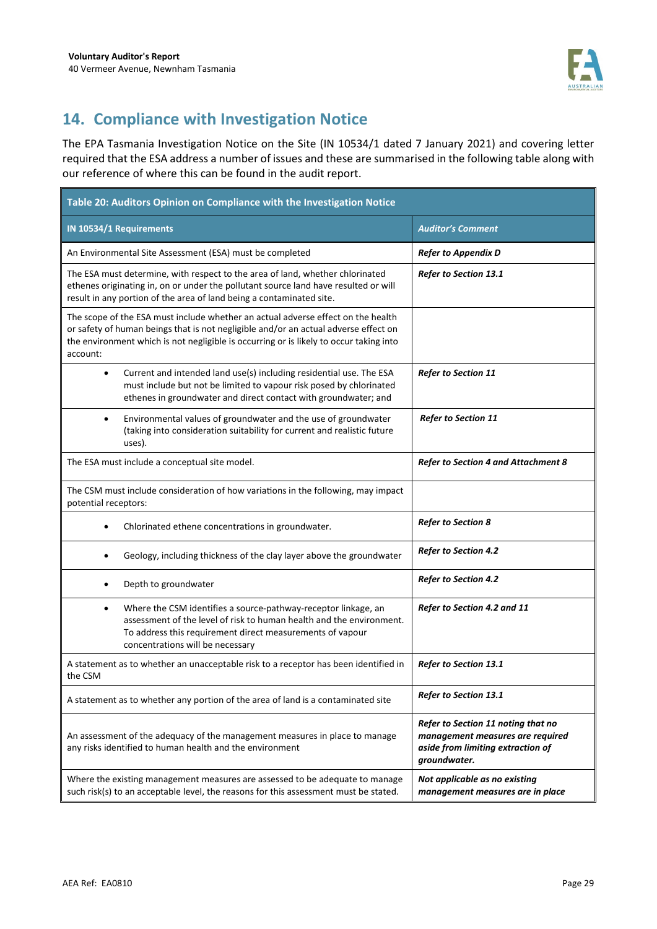

# **14. Compliance with Investigation Notice**

The EPA Tasmania Investigation Notice on the Site (IN 10534/1 dated 7 January 2021) and covering letter required that the ESA address a number of issues and these are summarised in the following table along with our reference of where this can be found in the audit report.

| Table 20: Auditors Opinion on Compliance with the Investigation Notice                                                                                                                                                                                                        |                                                                                                                             |  |  |  |
|-------------------------------------------------------------------------------------------------------------------------------------------------------------------------------------------------------------------------------------------------------------------------------|-----------------------------------------------------------------------------------------------------------------------------|--|--|--|
| IN 10534/1 Requirements                                                                                                                                                                                                                                                       | <b>Auditor's Comment</b>                                                                                                    |  |  |  |
| An Environmental Site Assessment (ESA) must be completed                                                                                                                                                                                                                      | <b>Refer to Appendix D</b>                                                                                                  |  |  |  |
| The ESA must determine, with respect to the area of land, whether chlorinated<br>ethenes originating in, on or under the pollutant source land have resulted or will<br>result in any portion of the area of land being a contaminated site.                                  | Refer to Section 13.1                                                                                                       |  |  |  |
| The scope of the ESA must include whether an actual adverse effect on the health<br>or safety of human beings that is not negligible and/or an actual adverse effect on<br>the environment which is not negligible is occurring or is likely to occur taking into<br>account: |                                                                                                                             |  |  |  |
| Current and intended land use(s) including residential use. The ESA<br>$\bullet$<br>must include but not be limited to vapour risk posed by chlorinated<br>ethenes in groundwater and direct contact with groundwater; and                                                    | <b>Refer to Section 11</b>                                                                                                  |  |  |  |
| Environmental values of groundwater and the use of groundwater<br>$\bullet$<br>(taking into consideration suitability for current and realistic future<br>uses).                                                                                                              | <b>Refer to Section 11</b>                                                                                                  |  |  |  |
| The ESA must include a conceptual site model.                                                                                                                                                                                                                                 | <b>Refer to Section 4 and Attachment 8</b>                                                                                  |  |  |  |
| The CSM must include consideration of how variations in the following, may impact<br>potential receptors:                                                                                                                                                                     |                                                                                                                             |  |  |  |
| Chlorinated ethene concentrations in groundwater.<br>$\bullet$                                                                                                                                                                                                                | <b>Refer to Section 8</b>                                                                                                   |  |  |  |
| Geology, including thickness of the clay layer above the groundwater                                                                                                                                                                                                          | <b>Refer to Section 4.2</b>                                                                                                 |  |  |  |
| Depth to groundwater                                                                                                                                                                                                                                                          | <b>Refer to Section 4.2</b>                                                                                                 |  |  |  |
| Where the CSM identifies a source-pathway-receptor linkage, an<br>٠<br>assessment of the level of risk to human health and the environment.<br>To address this requirement direct measurements of vapour<br>concentrations will be necessary                                  | Refer to Section 4.2 and 11                                                                                                 |  |  |  |
| A statement as to whether an unacceptable risk to a receptor has been identified in<br>the CSM                                                                                                                                                                                | Refer to Section 13.1                                                                                                       |  |  |  |
| A statement as to whether any portion of the area of land is a contaminated site                                                                                                                                                                                              | Refer to Section 13.1                                                                                                       |  |  |  |
| An assessment of the adequacy of the management measures in place to manage<br>any risks identified to human health and the environment                                                                                                                                       | Refer to Section 11 noting that no<br>management measures are required<br>aside from limiting extraction of<br>groundwater. |  |  |  |
| Where the existing management measures are assessed to be adequate to manage<br>such risk(s) to an acceptable level, the reasons for this assessment must be stated.                                                                                                          | Not applicable as no existing<br>management measures are in place                                                           |  |  |  |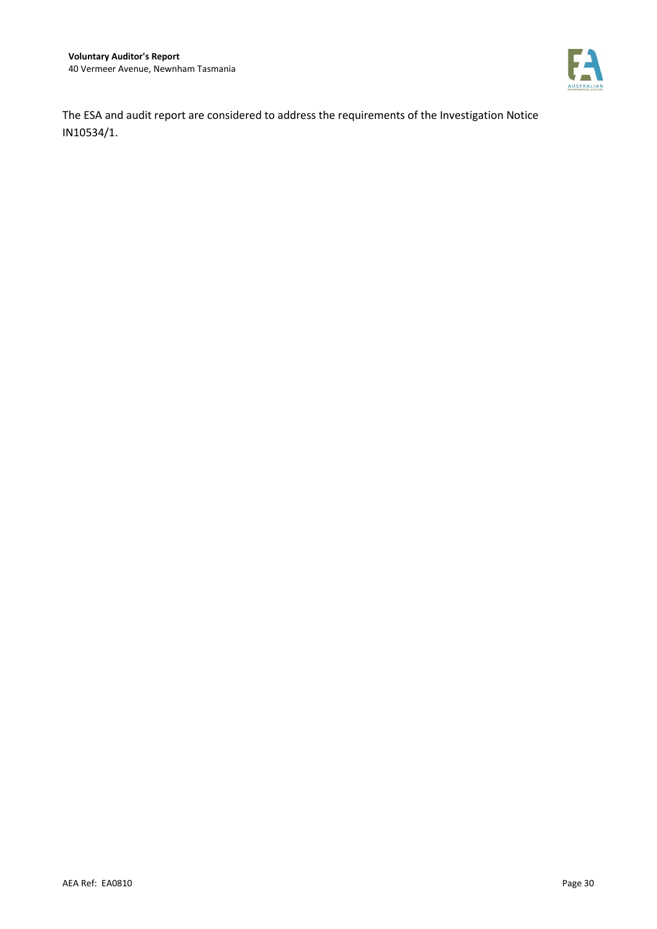

The ESA and audit report are considered to address the requirements of the Investigation Notice IN10534/1.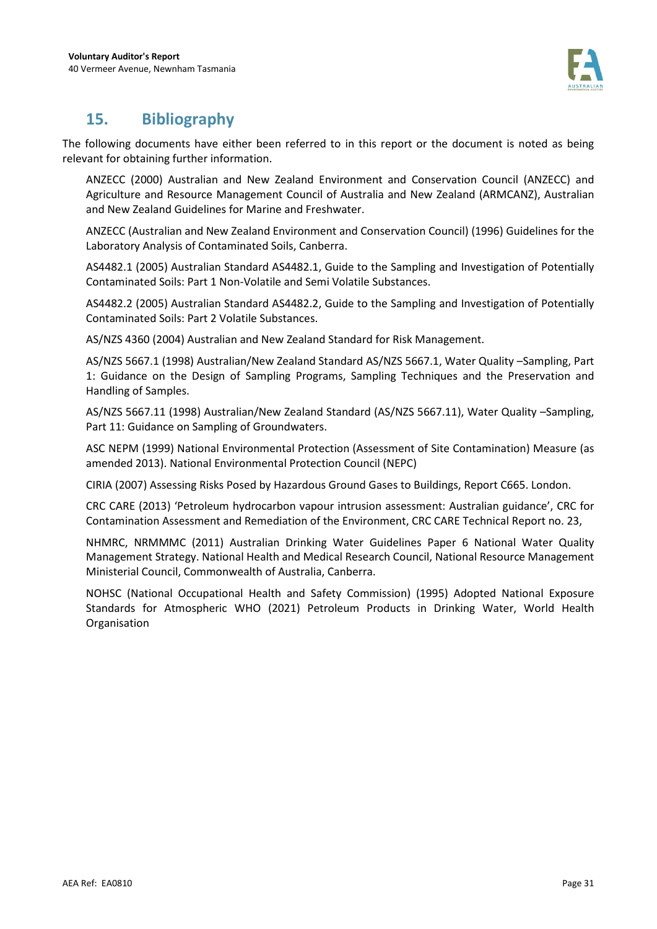

## **15. Bibliography**

The following documents have either been referred to in this report or the document is noted as being relevant for obtaining further information.

ANZECC (2000) Australian and New Zealand Environment and Conservation Council (ANZECC) and Agriculture and Resource Management Council of Australia and New Zealand (ARMCANZ), Australian and New Zealand Guidelines for Marine and Freshwater.

ANZECC (Australian and New Zealand Environment and Conservation Council) (1996) Guidelines for the Laboratory Analysis of Contaminated Soils, Canberra.

AS4482.1 (2005) Australian Standard AS4482.1, Guide to the Sampling and Investigation of Potentially Contaminated Soils: Part 1 Non-Volatile and Semi Volatile Substances.

AS4482.2 (2005) Australian Standard AS4482.2, Guide to the Sampling and Investigation of Potentially Contaminated Soils: Part 2 Volatile Substances.

AS/NZS 4360 (2004) Australian and New Zealand Standard for Risk Management.

AS/NZS 5667.1 (1998) Australian/New Zealand Standard AS/NZS 5667.1, Water Quality –Sampling, Part 1: Guidance on the Design of Sampling Programs, Sampling Techniques and the Preservation and Handling of Samples.

AS/NZS 5667.11 (1998) Australian/New Zealand Standard (AS/NZS 5667.11), Water Quality –Sampling, Part 11: Guidance on Sampling of Groundwaters.

ASC NEPM (1999) National Environmental Protection (Assessment of Site Contamination) Measure (as amended 2013). National Environmental Protection Council (NEPC)

CIRIA (2007) Assessing Risks Posed by Hazardous Ground Gases to Buildings, Report C665. London.

CRC CARE (2013) 'Petroleum hydrocarbon vapour intrusion assessment: Australian guidance', CRC for Contamination Assessment and Remediation of the Environment, CRC CARE Technical Report no. 23,

NHMRC, NRMMMC (2011) Australian Drinking Water Guidelines Paper 6 National Water Quality Management Strategy. National Health and Medical Research Council, National Resource Management Ministerial Council, Commonwealth of Australia, Canberra.

NOHSC (National Occupational Health and Safety Commission) (1995) Adopted National Exposure Standards for Atmospheric WHO (2021) Petroleum Products in Drinking Water, World Health Organisation